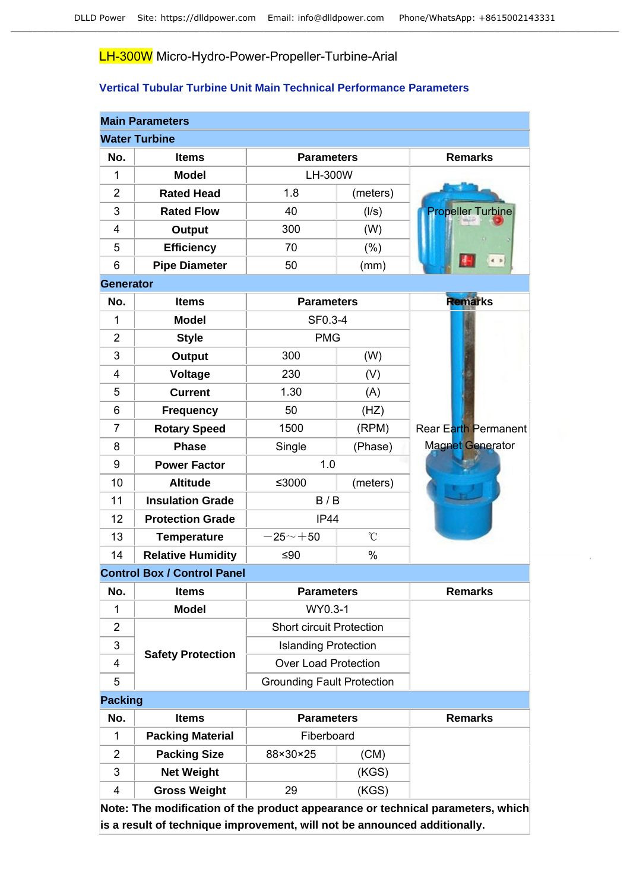# LH-300W Micro-Hydro-Power-Propeller-Turbine-Arial

### **Vertical Tubular Turbine Unit Main Technical Performance Parameters**

|                  | <b>Main Parameters</b>             |                                   |                 |                                                                                 |
|------------------|------------------------------------|-----------------------------------|-----------------|---------------------------------------------------------------------------------|
|                  | <b>Water Turbine</b>               |                                   |                 |                                                                                 |
| No.              | <b>Items</b>                       | <b>Parameters</b>                 | <b>Remarks</b>  |                                                                                 |
| 1                | <b>Model</b>                       | <b>LH-300W</b>                    |                 |                                                                                 |
| $\overline{2}$   | <b>Rated Head</b>                  | 1.8                               | (meters)        |                                                                                 |
| 3                | <b>Rated Flow</b>                  | 40                                | (1/s)           | <b>Propeller Turbine</b>                                                        |
| 4                | Output                             | 300                               | (W)             |                                                                                 |
| 5                | <b>Efficiency</b>                  | 70                                | (% )            |                                                                                 |
| 6                | <b>Pipe Diameter</b>               | 50                                | (mm)            |                                                                                 |
| <b>Generator</b> |                                    |                                   |                 |                                                                                 |
| No.              | <b>Items</b>                       | <b>Parameters</b>                 |                 | <b>Remarks</b>                                                                  |
| 1                | <b>Model</b>                       | SF0.3-4                           |                 |                                                                                 |
| $\overline{2}$   | <b>Style</b>                       | <b>PMG</b>                        |                 |                                                                                 |
| 3                | <b>Output</b>                      | 300                               | (W)             |                                                                                 |
| 4                | Voltage                            | 230                               | (V)             |                                                                                 |
| 5                | <b>Current</b>                     | 1.30                              | (A)             |                                                                                 |
| 6                | <b>Frequency</b>                   | 50<br>(HZ)                        |                 |                                                                                 |
| $\overline{7}$   | <b>Rotary Speed</b>                | 1500                              | (RPM)           | <b>Rear Earth Permanent</b>                                                     |
| 8                | <b>Phase</b>                       | Single<br>(Phase)                 |                 | <b>Magnet Generator</b>                                                         |
| 9                | <b>Power Factor</b>                | 1.0                               |                 |                                                                                 |
| 10               | <b>Altitude</b>                    | ≤3000                             | (meters)        |                                                                                 |
| 11               | <b>Insulation Grade</b>            | B/B                               |                 |                                                                                 |
| 12               | <b>Protection Grade</b>            | IP44                              |                 |                                                                                 |
| 13               | <b>Temperature</b>                 | $-25 - +50$                       | $\rm ^{\circ}C$ |                                                                                 |
| 14               | <b>Relative Humidity</b>           | ≤ $90$                            | $\%$            |                                                                                 |
|                  | <b>Control Box / Control Panel</b> |                                   |                 |                                                                                 |
| No.              | <b>Items</b>                       | <b>Parameters</b>                 |                 | <b>Remarks</b>                                                                  |
| 1                | <b>Model</b>                       | WY0.3-1                           |                 |                                                                                 |
| $\overline{2}$   |                                    | <b>Short circuit Protection</b>   |                 |                                                                                 |
| 3                | <b>Safety Protection</b>           | <b>Islanding Protection</b>       |                 |                                                                                 |
| 4                |                                    | <b>Over Load Protection</b>       |                 |                                                                                 |
| 5                |                                    | <b>Grounding Fault Protection</b> |                 |                                                                                 |
| <b>Packing</b>   |                                    |                                   |                 |                                                                                 |
| No.              | <b>Items</b>                       | <b>Parameters</b>                 |                 | <b>Remarks</b>                                                                  |
| 1                | <b>Packing Material</b>            | Fiberboard                        |                 |                                                                                 |
| 2                | <b>Packing Size</b>                | 88×30×25                          | (CM)            |                                                                                 |
| 3                | <b>Net Weight</b>                  |                                   | (KGS)           |                                                                                 |
| 4                | <b>Gross Weight</b>                | 29                                | (KGS)           |                                                                                 |
|                  |                                    |                                   |                 | Note: The modification of the product appearance or technical parameters, which |

**is a result of technique improvement, will not be announced additionally.**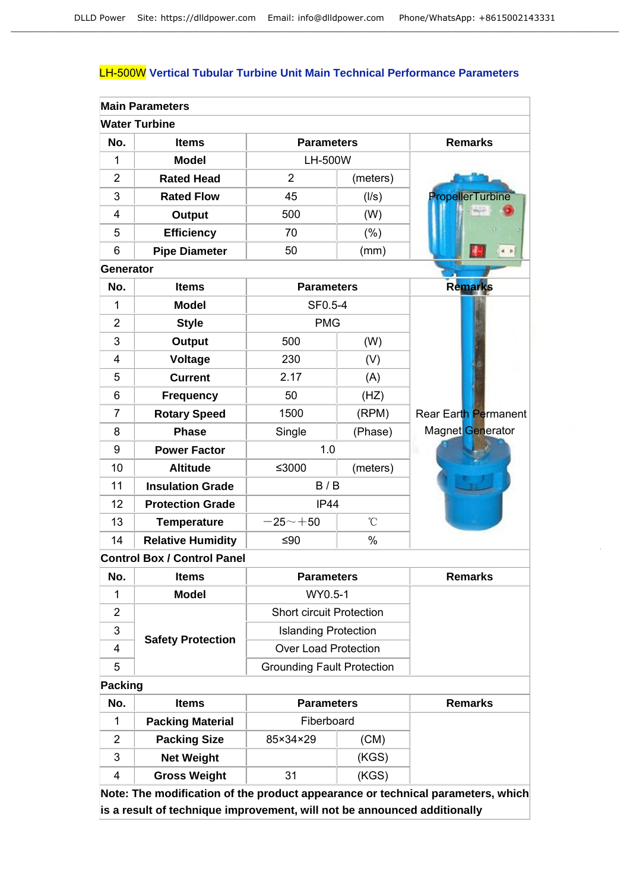### LH-500W **Vertical Tubular Turbine Unit Main Technical Performance Parameters**

|                | <b>Main Parameters</b>             |                            |              |                         |
|----------------|------------------------------------|----------------------------|--------------|-------------------------|
|                | <b>Water Turbine</b>               |                            |              |                         |
| No.            | <b>Items</b>                       | <b>Parameters</b>          |              | <b>Remarks</b>          |
| 1              | <b>Model</b>                       | LH-500W                    |              |                         |
| $\overline{2}$ | <b>Rated Head</b>                  | $\overline{2}$<br>(meters) |              |                         |
| 3              | <b>Rated Flow</b>                  | 45<br>(1/s)                |              | <b>PropellerTurbine</b> |
| 4              | <b>Output</b>                      | 500                        | (W)          |                         |
| 5              | <b>Efficiency</b>                  | 70                         | (%)          |                         |
| 6              | <b>Pipe Diameter</b>               | 50                         | (mm)         |                         |
| Generator      |                                    |                            |              |                         |
| No.            | <b>Items</b>                       | <b>Parameters</b>          |              | <b>Remarks</b>          |
| 1              | <b>Model</b>                       | SF0.5-4                    |              |                         |
| $\overline{2}$ | <b>Style</b>                       | <b>PMG</b>                 |              |                         |
| 3              | <b>Output</b>                      | 500                        | (W)          |                         |
| 4              | Voltage                            | 230                        | (V)          |                         |
| 5              | <b>Current</b>                     | 2.17                       | (A)          |                         |
| 6              | Frequency                          | 50                         | (HZ)         |                         |
| $\overline{7}$ | <b>Rotary Speed</b>                | 1500                       | (RPM)        | Rear Earth Permanent    |
| 8              | <b>Phase</b>                       | Single                     | (Phase)      | Magnet Generator        |
| 9              | <b>Power Factor</b>                | 1.0                        |              |                         |
| 10             | <b>Altitude</b>                    | ≤3000                      | (meters)     |                         |
| 11             | <b>Insulation Grade</b>            | B/B                        |              |                         |
| 12             | <b>Protection Grade</b>            | <b>IP44</b>                |              |                         |
| 13             | <b>Temperature</b>                 | $-25 - +50$                | $\mathrm{C}$ |                         |
| 14             | <b>Relative Humidity</b>           | ≤ $90$                     | $\%$         |                         |
|                | <b>Control Box / Control Panel</b> |                            |              |                         |
| No.            | <b>Items</b>                       | <b>Parameters</b>          |              | <b>Remarks</b>          |

| No. | <b>Items</b>             | <b>Parameters</b>                 | <b>Remarks</b> |
|-----|--------------------------|-----------------------------------|----------------|
|     | Model                    | WY0.5-1                           |                |
|     |                          | <b>Short circuit Protection</b>   |                |
| 3   |                          | <b>Islanding Protection</b>       |                |
| 4   | <b>Safety Protection</b> | Over Load Protection              |                |
| 5   |                          | <b>Grounding Fault Protection</b> |                |

# **Packing**

| No. | <b>Items</b>            | <b>Parameters</b> | <b>Remarks</b> |  |
|-----|-------------------------|-------------------|----------------|--|
|     | <b>Packing Material</b> | Fiberboard        |                |  |
| 2   | <b>Packing Size</b>     | (CM)<br>85×34×29  |                |  |
| 3   | <b>Net Weight</b>       |                   | (KGS)          |  |
| 4   | <b>Gross Weight</b>     | 31                | (KGS)          |  |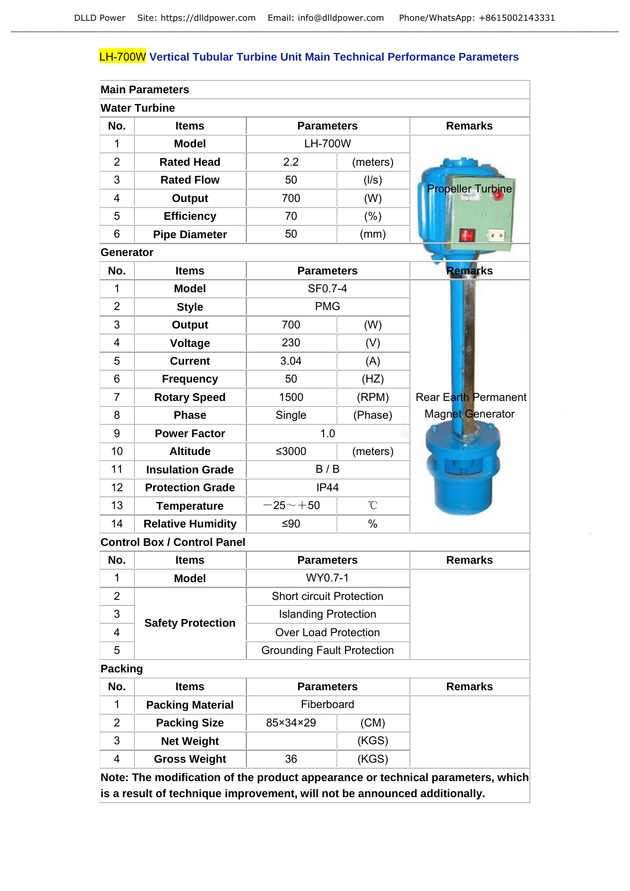## LH-700W **Vertical Tubular Turbine Unit Main Technical Performance Parameters**

|                | <b>Main Parameters</b>             |                   |               |                             |
|----------------|------------------------------------|-------------------|---------------|-----------------------------|
|                | <b>Water Turbine</b>               |                   |               |                             |
| No.            | <b>Items</b>                       | <b>Parameters</b> |               | <b>Remarks</b>              |
| 1              | <b>Model</b>                       | <b>LH-700W</b>    |               |                             |
| $\overline{2}$ | <b>Rated Head</b>                  | 2.2               | (meters)      |                             |
| 3              | <b>Rated Flow</b>                  | 50                | (1/s)         | <b>Propeller Turbine</b>    |
| 4              | <b>Output</b>                      | 700               | (W)           |                             |
| 5              | <b>Efficiency</b>                  | 70                | (% )          |                             |
| 6              | <b>Pipe Diameter</b>               | 50                | (mm)          |                             |
| Generator      |                                    |                   |               |                             |
| No.            | <b>Items</b>                       | <b>Parameters</b> |               | <b>Remarks</b>              |
| 1              | <b>Model</b>                       | SF0.7-4           |               |                             |
| $\overline{2}$ | <b>Style</b>                       | <b>PMG</b>        |               |                             |
| 3              | <b>Output</b>                      | 700               | (W)           |                             |
| $\overline{4}$ | <b>Voltage</b>                     | 230               | (V)           |                             |
| 5              | <b>Current</b>                     | 3.04              | (A)           |                             |
| 6              | <b>Frequency</b>                   | 50                | (HZ)          |                             |
| $\overline{7}$ | <b>Rotary Speed</b>                | 1500              | (RPM)         | <b>Rear Earth Permanent</b> |
| 8              | <b>Phase</b>                       | Single            | (Phase)       | Magnet Generator            |
| 9              | <b>Power Factor</b>                | 1.0               |               |                             |
| 10             | <b>Altitude</b>                    | ≤3000             | (meters)      |                             |
| 11             | <b>Insulation Grade</b>            | B/B               |               |                             |
| 12             | <b>Protection Grade</b>            | <b>IP44</b>       |               |                             |
| 13             | <b>Temperature</b>                 | $-25 - +50$       | $^{\circ}$ C  |                             |
| 14             | <b>Relative Humidity</b>           | ≤90               | $\frac{0}{0}$ |                             |
|                | <b>Control Box / Control Panel</b> |                   |               |                             |

| No. | <b>Items</b>             | <b>Parameters</b>                 | <b>Remarks</b> |
|-----|--------------------------|-----------------------------------|----------------|
|     | <b>Model</b>             | WY0.7-1                           |                |
|     |                          | <b>Short circuit Protection</b>   |                |
| 3   |                          | <b>Islanding Protection</b>       |                |
| 4   | <b>Safety Protection</b> | <b>Over Load Protection</b>       |                |
| 5   |                          | <b>Grounding Fault Protection</b> |                |

# **Packing**

| No. | <b>Items</b>            | <b>Parameters</b> | <b>Remarks</b> |  |
|-----|-------------------------|-------------------|----------------|--|
|     | <b>Packing Material</b> | Fiberboard        |                |  |
|     | <b>Packing Size</b>     | 85×34×29<br>(CM)  |                |  |
| 3   | <b>Net Weight</b>       | (KGS)             |                |  |
| 4   | <b>Gross Weight</b>     | 36                | (KGS)          |  |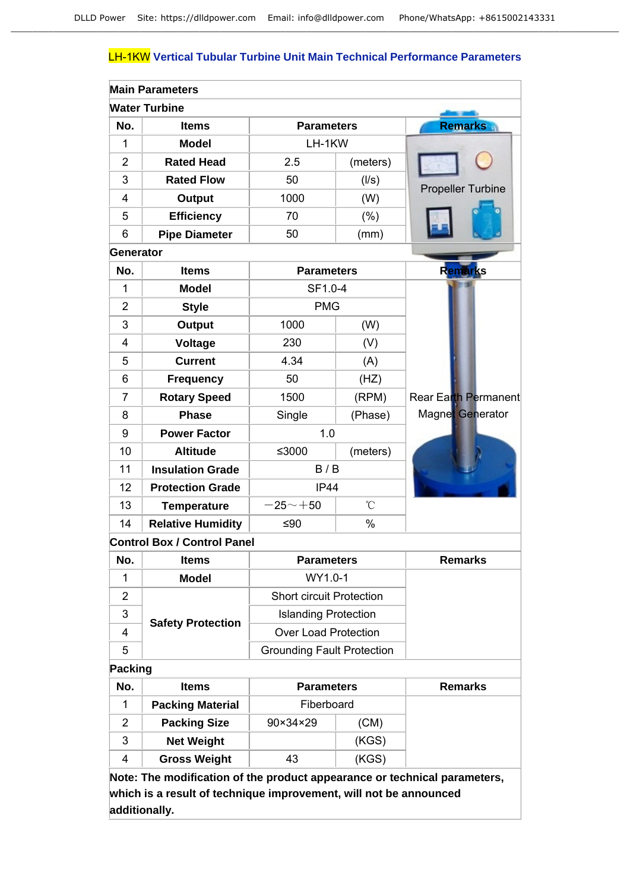## LH-1KW **Vertical Tubular Turbine Unit Main Technical Performance Parameters**

|                | <b>Main Parameters</b>             |                                   |                 |                             |
|----------------|------------------------------------|-----------------------------------|-----------------|-----------------------------|
|                | <b>Water Turbine</b>               |                                   |                 |                             |
| No.            | <b>Items</b>                       | <b>Parameters</b>                 |                 | <b>Remarks</b>              |
| 1              | <b>Model</b>                       | LH-1KW                            |                 |                             |
| $\overline{2}$ | <b>Rated Head</b>                  | 2.5                               | (meters)        |                             |
| 3              | <b>Rated Flow</b>                  | 50                                | (1/s)           |                             |
| 4              | <b>Output</b>                      | 1000                              | (W)             | <b>Propeller Turbine</b>    |
| 5              | <b>Efficiency</b>                  | 70                                | (% )            |                             |
| 6              | <b>Pipe Diameter</b>               | 50                                | (mm)            |                             |
| Generator      |                                    |                                   |                 |                             |
| No.            | <b>Items</b>                       | <b>Parameters</b>                 |                 | <b>Remarks</b>              |
| 1              | <b>Model</b>                       | SF1.0-4                           |                 |                             |
| $\overline{2}$ | <b>Style</b>                       | <b>PMG</b>                        |                 |                             |
| 3              | <b>Output</b>                      | 1000                              | (W)             |                             |
| 4              | Voltage                            | 230                               | (V)             |                             |
| 5              | <b>Current</b>                     | 4.34                              | (A)             |                             |
| 6              | <b>Frequency</b>                   | 50                                | (HZ)            |                             |
| $\overline{7}$ | <b>Rotary Speed</b>                | 1500                              | (RPM)           | <b>Rear Earth Permanent</b> |
| 8              | <b>Phase</b>                       | Single                            | (Phase)         | Magnet Generator            |
| 9              | <b>Power Factor</b>                | 1.0                               |                 |                             |
| 10             | <b>Altitude</b>                    | ≤3000                             | (meters)        |                             |
| 11             | <b>Insulation Grade</b>            | B/B                               |                 |                             |
| 12             | <b>Protection Grade</b>            | <b>IP44</b>                       |                 |                             |
| 13             | <b>Temperature</b>                 | $-25 - +50$                       | $\rm ^{\circ}C$ |                             |
| 14             | <b>Relative Humidity</b>           | ≤ $90$                            | $\%$            |                             |
|                | <b>Control Box / Control Panel</b> |                                   |                 |                             |
| No.            | <b>Items</b>                       | <b>Parameters</b>                 |                 | <b>Remarks</b>              |
| 1              | <b>Model</b>                       | WY1.0-1                           |                 |                             |
| $\overline{2}$ |                                    | <b>Short circuit Protection</b>   |                 |                             |
| 3              |                                    | <b>Islanding Protection</b>       |                 |                             |
| 4              | <b>Safety Protection</b>           | <b>Over Load Protection</b>       |                 |                             |
| 5              |                                    | <b>Grounding Fault Protection</b> |                 |                             |
| <b>Packing</b> |                                    |                                   |                 |                             |
| No.            | <b>Items</b>                       | <b>Parameters</b>                 |                 | <b>Remarks</b>              |
| 1              | <b>Packing Material</b>            | Fiberboard                        |                 |                             |
| $\overline{2}$ | <b>Packing Size</b>                | 90×34×29                          | (CM)            |                             |
| 3              | <b>Net Weight</b>                  |                                   | (KGS)           |                             |
| 4              | <b>Gross Weight</b>                | 43                                | (KGS)           |                             |
|                |                                    |                                   |                 |                             |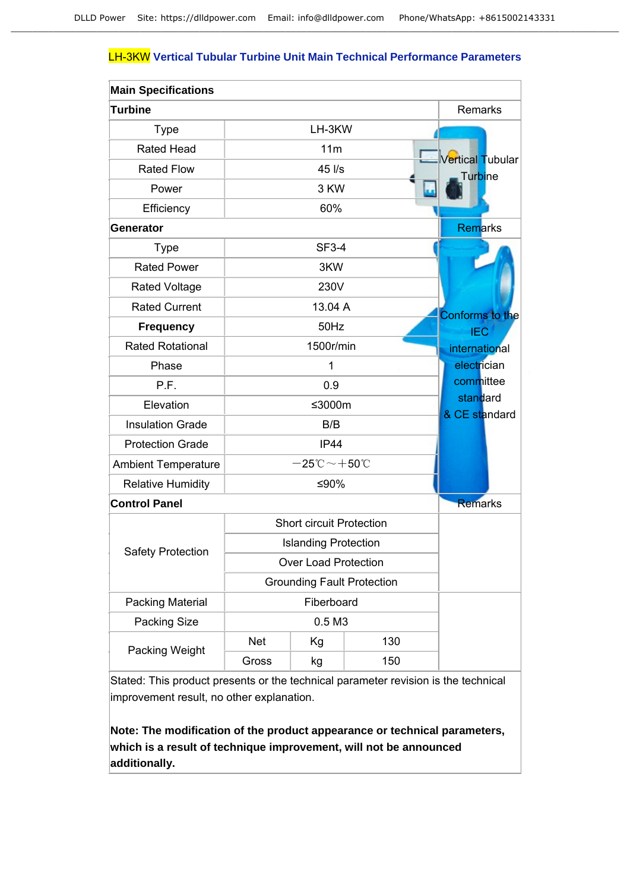### LH-3KW **Vertical Tubular Turbine Unit Main Technical Performance Parameters**

| <b>Main Specifications</b> |                                   |                                                |     |                           |
|----------------------------|-----------------------------------|------------------------------------------------|-----|---------------------------|
| <b>Turbine</b>             |                                   |                                                |     | Remarks                   |
| <b>Type</b>                |                                   | LH-3KW                                         |     |                           |
| <b>Rated Head</b>          |                                   | 11m                                            |     | Vertical Tubular          |
| <b>Rated Flow</b>          |                                   | 45 l/s                                         |     | Turbine                   |
| Power                      |                                   | 3 KW                                           |     |                           |
| Efficiency                 | 60%                               |                                                |     |                           |
| <b>Generator</b>           |                                   |                                                |     | <b>Remarks</b>            |
| <b>Type</b>                |                                   | <b>SF3-4</b>                                   |     |                           |
| <b>Rated Power</b>         |                                   | 3KW                                            |     |                           |
| <b>Rated Voltage</b>       |                                   | 230V                                           |     |                           |
| <b>Rated Current</b>       |                                   | 13.04 A                                        |     | <b>Conforms to the</b>    |
| <b>Frequency</b>           |                                   | 50Hz                                           |     | <b>IEC</b>                |
| <b>Rated Rotational</b>    |                                   | 1500r/min                                      |     | international             |
| Phase                      |                                   | 1                                              |     | electrician               |
| P.F.                       |                                   | 0.9                                            |     | committee                 |
| Elevation                  |                                   | ≤3000m                                         |     | standard<br>& CE standard |
| <b>Insulation Grade</b>    |                                   | B/B                                            |     |                           |
| <b>Protection Grade</b>    |                                   | <b>IP44</b>                                    |     |                           |
| <b>Ambient Temperature</b> |                                   | $-25\degree\text{C}\!\sim\!+50\degree\text{C}$ |     |                           |
| <b>Relative Humidity</b>   |                                   | ≤90%                                           |     |                           |
| <b>Control Panel</b>       |                                   |                                                |     | <b>Remarks</b>            |
|                            |                                   | <b>Short circuit Protection</b>                |     |                           |
| <b>Safety Protection</b>   |                                   | <b>Islanding Protection</b>                    |     |                           |
|                            |                                   | Over Load Protection                           |     |                           |
|                            | <b>Grounding Fault Protection</b> |                                                |     |                           |
| Packing Material           | Fiberboard                        |                                                |     |                           |
| Packing Size               | 0.5 M3                            |                                                |     |                           |
| Packing Weight             | <b>Net</b>                        | Kg                                             | 130 |                           |
|                            | Gross                             | kg                                             | 150 |                           |

Stated: This product presents or the technical parameter revision is the technical improvement result, no other explanation.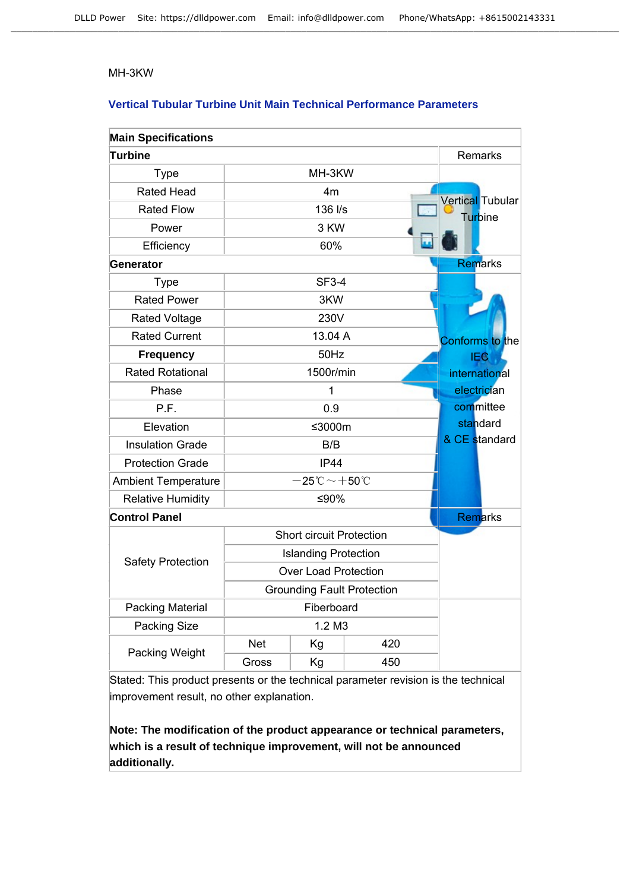#### MH-3KW

### **Vertical Tubular Turbine Unit Main Technical Performance Parameters**

| <b>Main Specifications</b> |                                   |                                                  |     |                         |
|----------------------------|-----------------------------------|--------------------------------------------------|-----|-------------------------|
| <b>Turbine</b>             |                                   |                                                  |     | Remarks                 |
| <b>Type</b>                |                                   | MH-3KW                                           |     |                         |
| <b>Rated Head</b>          |                                   | 4m                                               |     | <b>Vertical Tubular</b> |
| <b>Rated Flow</b>          |                                   | 136 l/s                                          |     | Turbine                 |
| Power                      |                                   | 3 KW                                             |     |                         |
| Efficiency                 |                                   | 60%                                              |     |                         |
| <b>Generator</b>           |                                   |                                                  |     | Remarks                 |
| Type                       |                                   | <b>SF3-4</b>                                     |     |                         |
| <b>Rated Power</b>         |                                   | 3KW                                              |     |                         |
| <b>Rated Voltage</b>       |                                   | 230V                                             |     |                         |
| <b>Rated Current</b>       |                                   | 13.04 A                                          |     | Conforms to the         |
| <b>Frequency</b>           |                                   | 50Hz                                             |     | <b>IEG</b>              |
| <b>Rated Rotational</b>    |                                   | 1500r/min                                        |     | international           |
| Phase                      |                                   | 1                                                |     | electrician             |
| P.F.                       |                                   | 0.9                                              |     | committee               |
| Elevation                  |                                   | ≤3000m                                           |     | standard                |
| <b>Insulation Grade</b>    |                                   | B/B                                              |     | & CE standard           |
| <b>Protection Grade</b>    |                                   | IP44                                             |     |                         |
| <b>Ambient Temperature</b> |                                   | $-25^{\circ}\text{C}\!\sim\!+50^{\circ}\text{C}$ |     |                         |
| <b>Relative Humidity</b>   |                                   | ≤90%                                             |     |                         |
| <b>Control Panel</b>       |                                   |                                                  |     | Remarks                 |
|                            |                                   | <b>Short circuit Protection</b>                  |     |                         |
|                            |                                   | <b>Islanding Protection</b>                      |     |                         |
| Safety Protection          |                                   | <b>Over Load Protection</b>                      |     |                         |
|                            | <b>Grounding Fault Protection</b> |                                                  |     |                         |
| <b>Packing Material</b>    | Fiberboard                        |                                                  |     |                         |
| Packing Size               | 1.2 M3                            |                                                  |     |                         |
| Packing Weight             | <b>Net</b>                        | Kg                                               | 420 |                         |
|                            | Gross                             | Kg                                               | 450 |                         |

Stated: This product presents or the technical parameter revision is the technical improvement result, no other explanation.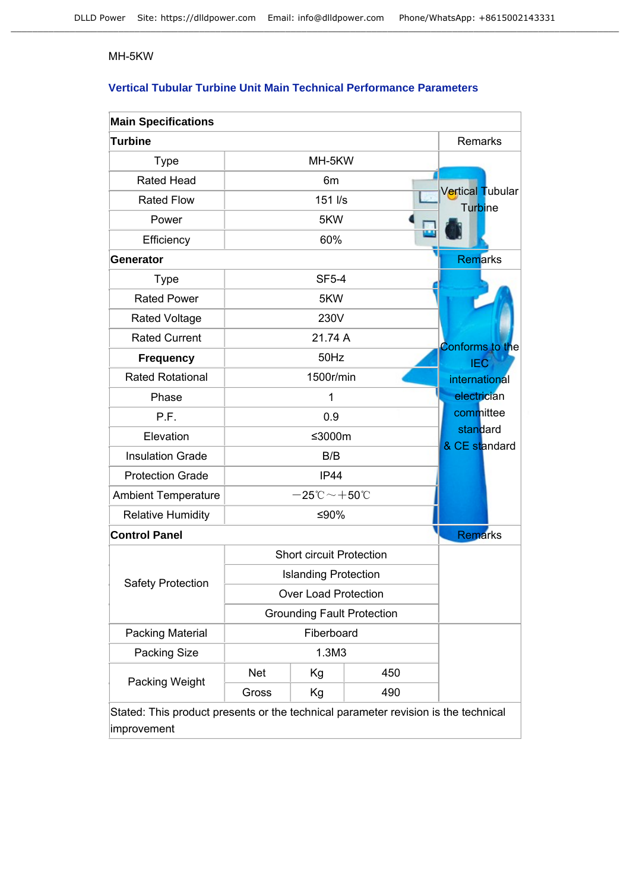### MH-5KW

## **Vertical Tubular Turbine Unit Main Technical Performance Parameters**

| <b>Main Specifications</b>                                                         |            |                                                  |     |                                    |
|------------------------------------------------------------------------------------|------------|--------------------------------------------------|-----|------------------------------------|
| <b>Turbine</b>                                                                     |            |                                                  |     | Remarks                            |
| <b>Type</b>                                                                        |            | MH-5KW                                           |     |                                    |
| <b>Rated Head</b>                                                                  |            | 6m                                               |     |                                    |
| <b>Rated Flow</b>                                                                  |            | 151 I/s                                          |     | Vertical Tubular<br><b>Turbine</b> |
| Power                                                                              |            | 5KW                                              |     |                                    |
| Efficiency                                                                         | 60%        |                                                  |     |                                    |
| <b>Generator</b>                                                                   |            |                                                  |     | <b>Remarks</b>                     |
| <b>Type</b>                                                                        |            | <b>SF5-4</b>                                     |     |                                    |
| <b>Rated Power</b>                                                                 |            | 5KW                                              |     |                                    |
| <b>Rated Voltage</b>                                                               |            | 230V                                             |     |                                    |
| <b>Rated Current</b>                                                               |            | 21.74 A                                          |     | <b>Conforms to the</b>             |
| <b>Frequency</b>                                                                   |            | 50Hz                                             |     | <b>IEC</b>                         |
| <b>Rated Rotational</b>                                                            |            | 1500r/min                                        |     | international                      |
| Phase                                                                              |            | 1                                                |     | electrician                        |
| P.F.                                                                               |            | 0.9                                              |     | committee                          |
| Elevation                                                                          |            | ≤3000m                                           |     | standard<br>& CE standard          |
| <b>Insulation Grade</b>                                                            |            | B/B                                              |     |                                    |
| <b>Protection Grade</b>                                                            |            | <b>IP44</b>                                      |     |                                    |
| <b>Ambient Temperature</b>                                                         |            | $-25^{\circ}\text{C}\!\sim\!+50^{\circ}\text{C}$ |     |                                    |
| <b>Relative Humidity</b>                                                           |            | ≤90%                                             |     |                                    |
| <b>Control Panel</b>                                                               |            |                                                  |     | <b>Remarks</b>                     |
|                                                                                    |            | <b>Short circuit Protection</b>                  |     |                                    |
| <b>Safety Protection</b>                                                           |            | <b>Islanding Protection</b>                      |     |                                    |
|                                                                                    |            | <b>Over Load Protection</b>                      |     |                                    |
| <b>Grounding Fault Protection</b>                                                  |            |                                                  |     |                                    |
| Packing Material                                                                   | Fiberboard |                                                  |     |                                    |
| Packing Size                                                                       | 1.3M3      |                                                  |     |                                    |
| Packing Weight                                                                     | <b>Net</b> | Kg                                               | 450 |                                    |
|                                                                                    | Gross      | Kg                                               | 490 |                                    |
| Stated: This product presents or the technical parameter revision is the technical |            |                                                  |     |                                    |

improvement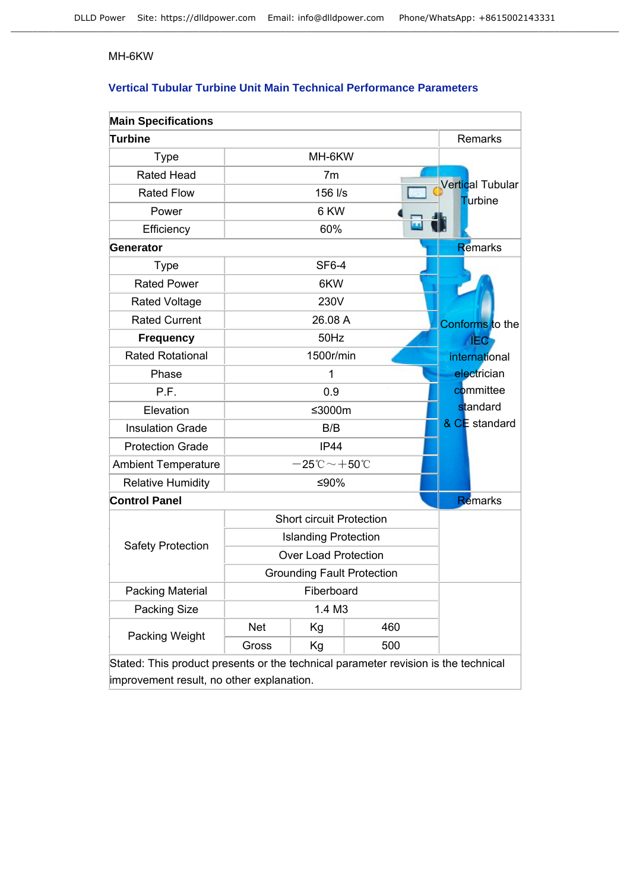#### MH-6KW

## **Vertical Tubular Turbine Unit Main Technical Performance Parameters**

| <b>Main Specifications</b>                                                         |            |                                                  |                                   |                                    |
|------------------------------------------------------------------------------------|------------|--------------------------------------------------|-----------------------------------|------------------------------------|
| <b>Turbine</b>                                                                     |            |                                                  |                                   | Remarks                            |
| <b>Type</b>                                                                        |            | MH-6KW                                           |                                   |                                    |
| <b>Rated Head</b>                                                                  |            | 7 <sub>m</sub>                                   |                                   |                                    |
| <b>Rated Flow</b>                                                                  |            | 156 l/s                                          |                                   | Vertical Tubular<br><b>Turbine</b> |
| Power                                                                              |            | 6 KW                                             |                                   |                                    |
| Efficiency                                                                         |            | 60%                                              |                                   |                                    |
| Generator                                                                          |            |                                                  |                                   | Remarks                            |
| <b>Type</b>                                                                        |            | <b>SF6-4</b>                                     |                                   |                                    |
| <b>Rated Power</b>                                                                 |            | 6KW                                              |                                   |                                    |
| Rated Voltage                                                                      |            | 230V                                             |                                   |                                    |
| <b>Rated Current</b>                                                               |            | 26.08 A                                          |                                   | Conforms to the                    |
| <b>Frequency</b>                                                                   |            | 50Hz                                             |                                   | <b>IEC</b>                         |
| <b>Rated Rotational</b>                                                            |            | 1500r/min                                        |                                   | international                      |
| Phase                                                                              |            | 1                                                |                                   | electrician                        |
| P.F.                                                                               |            | 0.9                                              |                                   | committee                          |
| Elevation                                                                          |            | ≤3000m                                           |                                   | standard                           |
| <b>Insulation Grade</b>                                                            |            | B/B                                              |                                   | & CE standard                      |
| <b>Protection Grade</b>                                                            |            | IP44                                             |                                   |                                    |
| <b>Ambient Temperature</b>                                                         |            | $-25^{\circ}\text{C}\!\sim\!+50^{\circ}\text{C}$ |                                   |                                    |
| <b>Relative Humidity</b>                                                           |            | ≤90%                                             |                                   |                                    |
| <b>Control Panel</b>                                                               |            |                                                  |                                   | <b>Remarks</b>                     |
|                                                                                    |            | <b>Short circuit Protection</b>                  |                                   |                                    |
| <b>Safety Protection</b>                                                           |            | <b>Islanding Protection</b>                      |                                   |                                    |
|                                                                                    |            | <b>Over Load Protection</b>                      |                                   |                                    |
|                                                                                    |            |                                                  | <b>Grounding Fault Protection</b> |                                    |
| <b>Packing Material</b>                                                            | Fiberboard |                                                  |                                   |                                    |
| <b>Packing Size</b>                                                                | 1.4 M3     |                                                  |                                   |                                    |
| Packing Weight                                                                     | <b>Net</b> | Kg                                               | 460                               |                                    |
|                                                                                    | Gross      | Kg                                               | 500                               |                                    |
| Stated: This product presents or the technical parameter revision is the technical |            |                                                  |                                   |                                    |

improvement result, no other explanation.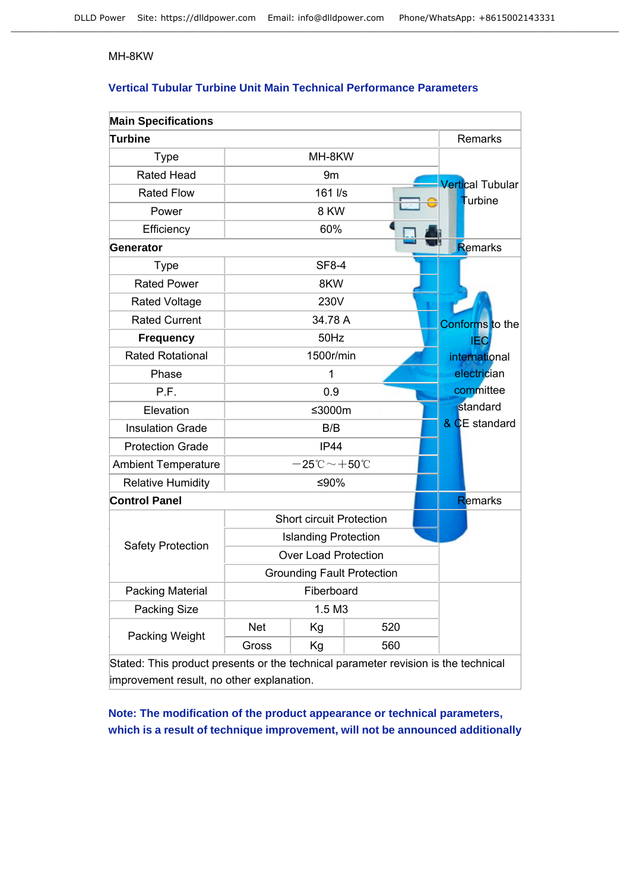#### MH-8KW

## **Vertical Tubular Turbine Unit Main Technical Performance Parameters**

| <b>Main Specifications</b>                                                         |            |                                                  |                                   |                         |
|------------------------------------------------------------------------------------|------------|--------------------------------------------------|-----------------------------------|-------------------------|
| <b>Turbine</b>                                                                     |            |                                                  |                                   | Remarks                 |
| <b>Type</b>                                                                        |            | MH-8KW                                           |                                   |                         |
| <b>Rated Head</b>                                                                  |            | 9m                                               |                                   | <b>Vertical Tubular</b> |
| <b>Rated Flow</b>                                                                  |            | 161 l/s                                          |                                   | <b>Turbine</b>          |
| Power                                                                              |            | 8 KW                                             |                                   |                         |
| Efficiency                                                                         |            | 60%                                              |                                   |                         |
| Generator                                                                          |            |                                                  |                                   | Remarks                 |
| <b>Type</b>                                                                        |            | <b>SF8-4</b>                                     |                                   |                         |
| <b>Rated Power</b>                                                                 |            | 8KW                                              |                                   |                         |
| Rated Voltage                                                                      |            | 230V                                             |                                   |                         |
| <b>Rated Current</b>                                                               |            | 34.78 A                                          |                                   | Conforms to the         |
| <b>Frequency</b>                                                                   |            | 50Hz                                             |                                   | <b>IEC</b>              |
| <b>Rated Rotational</b>                                                            |            | 1500r/min                                        |                                   | international           |
| Phase                                                                              | 1          |                                                  | electrician                       |                         |
| P.F.                                                                               | 0.9        |                                                  | committee                         |                         |
| Elevation                                                                          |            | ≤3000m                                           |                                   | standard                |
| <b>Insulation Grade</b>                                                            |            | B/B                                              |                                   | & CE standard           |
| <b>Protection Grade</b>                                                            |            | IP44                                             |                                   |                         |
| <b>Ambient Temperature</b>                                                         |            | $-25^{\circ}\text{C}\!\sim\!+50^{\circ}\text{C}$ |                                   |                         |
| <b>Relative Humidity</b>                                                           |            | ≤90%                                             |                                   |                         |
| <b>Control Panel</b>                                                               |            |                                                  |                                   | Remarks                 |
|                                                                                    |            | <b>Short circuit Protection</b>                  |                                   |                         |
| <b>Safety Protection</b>                                                           |            | <b>Islanding Protection</b>                      |                                   |                         |
|                                                                                    |            | <b>Over Load Protection</b>                      |                                   |                         |
|                                                                                    |            |                                                  | <b>Grounding Fault Protection</b> |                         |
| <b>Packing Material</b>                                                            | Fiberboard |                                                  |                                   |                         |
| Packing Size                                                                       | 1.5 M3     |                                                  |                                   |                         |
| Packing Weight                                                                     | <b>Net</b> | Kg                                               | 520                               |                         |
|                                                                                    | Gross      | Kg                                               | 560                               |                         |
| Stated: This product presents or the technical parameter revision is the technical |            |                                                  |                                   |                         |

improvement result, no other explanation.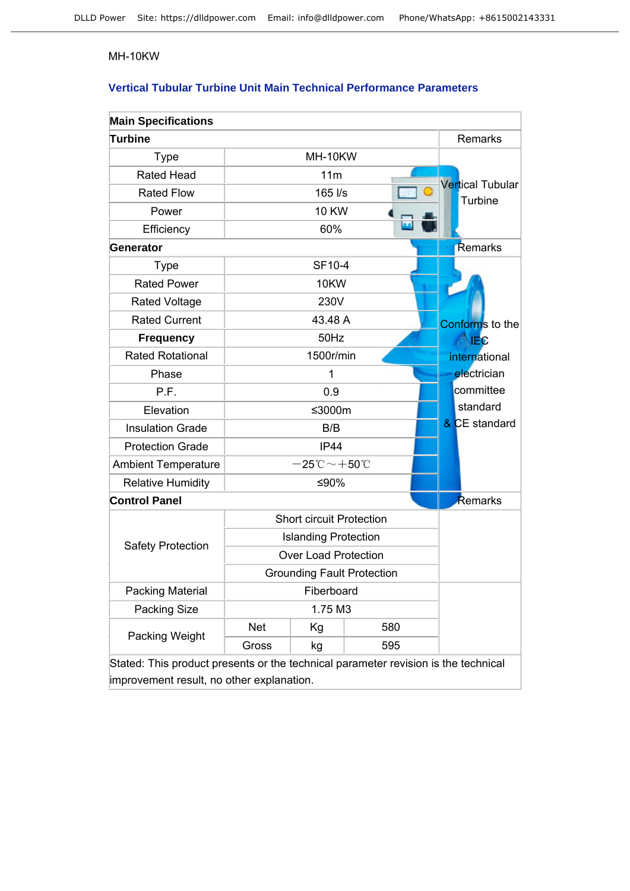### MH-10KW

## **Vertical Tubular Turbine Unit Main Technical Performance Parameters**

| <b>Main Specifications</b>                                                         |                                   |                                                  |             |  |                                    |
|------------------------------------------------------------------------------------|-----------------------------------|--------------------------------------------------|-------------|--|------------------------------------|
| <b>Turbine</b>                                                                     |                                   |                                                  |             |  | Remarks                            |
| <b>Type</b>                                                                        |                                   | MH-10KW                                          |             |  |                                    |
| <b>Rated Head</b>                                                                  |                                   | 11m                                              |             |  |                                    |
| <b>Rated Flow</b>                                                                  |                                   | 165 l/s                                          |             |  | <b>Vertical Tubular</b><br>Turbine |
| Power                                                                              |                                   | <b>10 KW</b>                                     |             |  |                                    |
| Efficiency                                                                         |                                   | 60%                                              |             |  |                                    |
| <b>Generator</b>                                                                   |                                   |                                                  |             |  | Remarks                            |
| <b>Type</b>                                                                        |                                   | SF10-4                                           |             |  |                                    |
| <b>Rated Power</b>                                                                 |                                   | <b>10KW</b>                                      |             |  |                                    |
| <b>Rated Voltage</b>                                                               |                                   | 230V                                             |             |  |                                    |
| <b>Rated Current</b>                                                               |                                   | 43.48 A                                          |             |  | Conforms to the                    |
| <b>Frequency</b>                                                                   |                                   | 50Hz                                             |             |  | <b>IEC</b>                         |
| <b>Rated Rotational</b>                                                            |                                   | 1500r/min                                        |             |  | international                      |
| Phase                                                                              | 1                                 |                                                  | electrician |  |                                    |
| P.F.                                                                               | 0.9                               |                                                  | committee   |  |                                    |
| Elevation                                                                          |                                   | ≤3000m                                           |             |  | standard                           |
| <b>Insulation Grade</b>                                                            |                                   | B/B                                              |             |  | & CE standard                      |
| <b>Protection Grade</b>                                                            |                                   | <b>IP44</b>                                      |             |  |                                    |
| <b>Ambient Temperature</b>                                                         |                                   | $-25\degree \text{C}\!\sim\!+50\degree \text{C}$ |             |  |                                    |
| <b>Relative Humidity</b>                                                           |                                   | ≤90%                                             |             |  |                                    |
| <b>Control Panel</b>                                                               |                                   |                                                  |             |  | Remarks                            |
|                                                                                    |                                   | <b>Short circuit Protection</b>                  |             |  |                                    |
| <b>Safety Protection</b>                                                           |                                   | <b>Islanding Protection</b>                      |             |  |                                    |
|                                                                                    |                                   | <b>Over Load Protection</b>                      |             |  |                                    |
|                                                                                    | <b>Grounding Fault Protection</b> |                                                  |             |  |                                    |
| Packing Material                                                                   | Fiberboard                        |                                                  |             |  |                                    |
| Packing Size                                                                       | 1.75 M3                           |                                                  |             |  |                                    |
| Packing Weight                                                                     | <b>Net</b>                        | Kg                                               | 580         |  |                                    |
|                                                                                    | Gross                             | kg                                               | 595         |  |                                    |
| Stated: This product presents or the technical parameter revision is the technical |                                   |                                                  |             |  |                                    |

improvement result, no other explanation.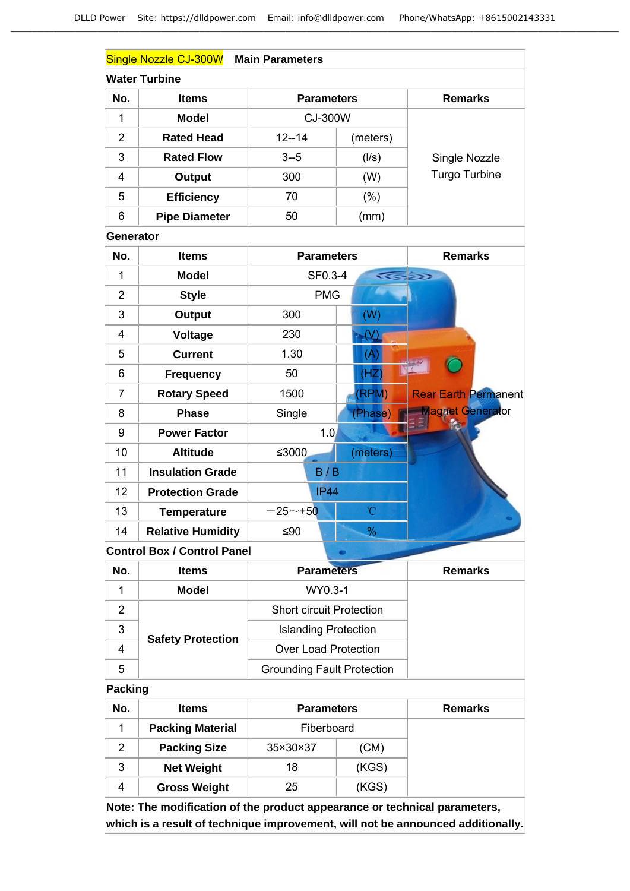|                  | Single Nozzle CJ-300W Main Parameters |                                   |               |                             |
|------------------|---------------------------------------|-----------------------------------|---------------|-----------------------------|
|                  | <b>Water Turbine</b>                  |                                   |               |                             |
| No.              | <b>Items</b>                          | <b>Parameters</b>                 |               | <b>Remarks</b>              |
| 1                | <b>Model</b>                          | CJ-300W                           |               |                             |
| $\overline{2}$   | <b>Rated Head</b>                     | $12 - 14$                         | (meters)      |                             |
| 3                | <b>Rated Flow</b>                     | $3 - 5$                           | (1/s)         | Single Nozzle               |
| 4                | <b>Output</b>                         | 300                               | (W)           | <b>Turgo Turbine</b>        |
| 5                | <b>Efficiency</b>                     | 70                                | (% )          |                             |
| 6                | <b>Pipe Diameter</b>                  | 50                                | (mm)          |                             |
| <b>Generator</b> |                                       |                                   |               |                             |
| No.              | <b>Items</b>                          | <b>Parameters</b>                 |               | <b>Remarks</b>              |
| 1                | <b>Model</b>                          | SF0.3-4                           |               |                             |
| $\overline{2}$   | <b>Style</b>                          | <b>PMG</b>                        |               |                             |
| 3                | <b>Output</b>                         | 300                               | (W)           |                             |
| 4                | <b>Voltage</b>                        | 230                               | $\mathcal{N}$ |                             |
| 5                | <b>Current</b>                        | 1.30                              | (A)           |                             |
| 6                | <b>Frequency</b>                      | 50                                | (HZ)          |                             |
| $\overline{7}$   | <b>Rotary Speed</b>                   | 1500                              | (RPM)         | <b>Rear Earth Permanent</b> |
| 8                | <b>Phase</b>                          | Single                            | (Phase)       | <b>Magnet Generator</b>     |
| 9                | <b>Power Factor</b>                   | 1.0                               |               |                             |
| 10               | <b>Altitude</b>                       | ≤3000                             | (meters)      |                             |
| 11               | <b>Insulation Grade</b>               | B/B                               |               |                             |
| 12               | <b>Protection Grade</b>               | <b>IP44</b>                       |               |                             |
| 13               | <b>Temperature</b>                    | $-25 - +50$                       | °C            |                             |
| 14               | <b>Relative Humidity</b>              | ≤90                               | %             |                             |
|                  | <b>Control Box / Control Panel</b>    |                                   | ۰             |                             |
| No.              | <b>Items</b>                          | <b>Parameters</b>                 |               | <b>Remarks</b>              |
| 1                | <b>Model</b>                          | WY0.3-1                           |               |                             |
| $\overline{2}$   |                                       | <b>Short circuit Protection</b>   |               |                             |
| 3                | <b>Safety Protection</b>              | <b>Islanding Protection</b>       |               |                             |
| 4                |                                       | <b>Over Load Protection</b>       |               |                             |
| 5                |                                       | <b>Grounding Fault Protection</b> |               |                             |
| Packing          |                                       |                                   |               |                             |
| No.              | <b>Items</b>                          | <b>Parameters</b>                 |               | <b>Remarks</b>              |

| IVU. | IIGIIIS                 | Falalituris | REIHAIRS |  |
|------|-------------------------|-------------|----------|--|
|      | <b>Packing Material</b> | Fiberboard  |          |  |
|      | <b>Packing Size</b>     | 35×30×37    | (CM)     |  |
| 3    | <b>Net Weight</b>       | 18          | (KGS)    |  |
| 4    | <b>Gross Weight</b>     | 25          | (KGS)    |  |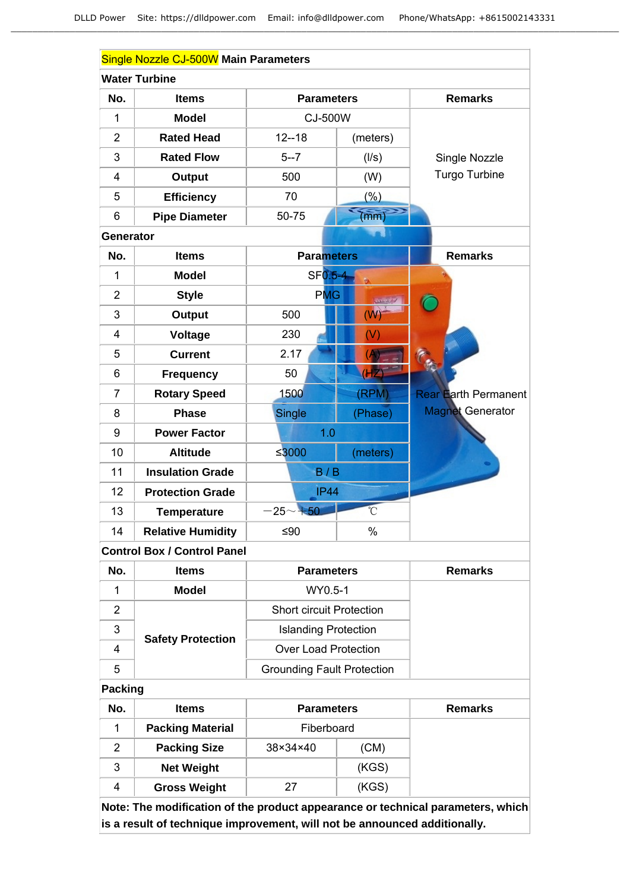|                  | Single Nozzle CJ-500W Main Parameters |                   |                |                             |
|------------------|---------------------------------------|-------------------|----------------|-----------------------------|
|                  | <b>Water Turbine</b>                  |                   |                |                             |
| No.              | <b>Items</b>                          | <b>Parameters</b> |                | <b>Remarks</b>              |
| 1                | <b>Model</b>                          | CJ-500W           |                |                             |
| $\overline{2}$   | <b>Rated Head</b>                     | $12 - 18$         | (meters)       |                             |
| 3                | <b>Rated Flow</b>                     | $5 - 7$           | (1/s)          | Single Nozzle               |
| $\overline{4}$   | <b>Output</b>                         | 500               | (W)            | Turgo Turbine               |
| 5                | <b>Efficiency</b>                     | 70                | (% )           |                             |
| 6                | <b>Pipe Diameter</b>                  | 50-75             | (mm)           |                             |
| <b>Generator</b> |                                       |                   |                |                             |
| No.              | <b>Items</b>                          | <b>Parameters</b> |                | <b>Remarks</b>              |
| 1                | <b>Model</b>                          | SF0.5-4           |                |                             |
| $\overline{2}$   | <b>Style</b>                          | <b>PMG</b>        |                |                             |
| 3                | <b>Output</b>                         | 500               | (W)            |                             |
| $\overline{4}$   | <b>Voltage</b>                        | 230               | (V)            |                             |
| 5                | <b>Current</b>                        | 2.17              |                |                             |
| 6                | <b>Frequency</b>                      | 50                | $\overline{c}$ |                             |
| $\overline{7}$   | <b>Rotary Speed</b>                   | 1500              | (RPM)          | <b>Rear Earth Permanent</b> |
| 8                | <b>Phase</b>                          | <b>Single</b>     | (Phase)        | <b>Magnet Generator</b>     |
| 9                | <b>Power Factor</b>                   | 1.0               |                |                             |
| 10               | <b>Altitude</b>                       | $≤3000$           | (meters)       |                             |
| 11               | <b>Insulation Grade</b>               | B/B               |                |                             |
| 12               | <b>Protection Grade</b>               | <b>IP44</b>       |                |                             |
| 13               | <b>Temperature</b>                    | $-25 - +50$       | $\overline{C}$ |                             |
| 14               | <b>Relative Humidity</b>              | $≤90$             | $\%$           |                             |
|                  | <b>Control Box / Control Panel</b>    |                   |                |                             |

| No. | <b>Items</b>             | <b>Parameters</b>                 | <b>Remarks</b> |
|-----|--------------------------|-----------------------------------|----------------|
|     | WY0.5-1<br><b>Model</b>  |                                   |                |
| 2   |                          | <b>Short circuit Protection</b>   |                |
| 3   |                          | <b>Islanding Protection</b>       |                |
| 4   | <b>Safety Protection</b> | <b>Over Load Protection</b>       |                |
| 5   |                          | <b>Grounding Fault Protection</b> |                |

## **Packing**

| No. | <b>Items</b>            | <b>Parameters</b> |       | <b>Remarks</b> |
|-----|-------------------------|-------------------|-------|----------------|
|     | <b>Packing Material</b> | Fiberboard        |       |                |
| 2   | <b>Packing Size</b>     | 38×34×40          | (CM)  |                |
| 3   | <b>Net Weight</b>       |                   | (KGS) |                |
| 4   | <b>Gross Weight</b>     | 27                | (KGS) |                |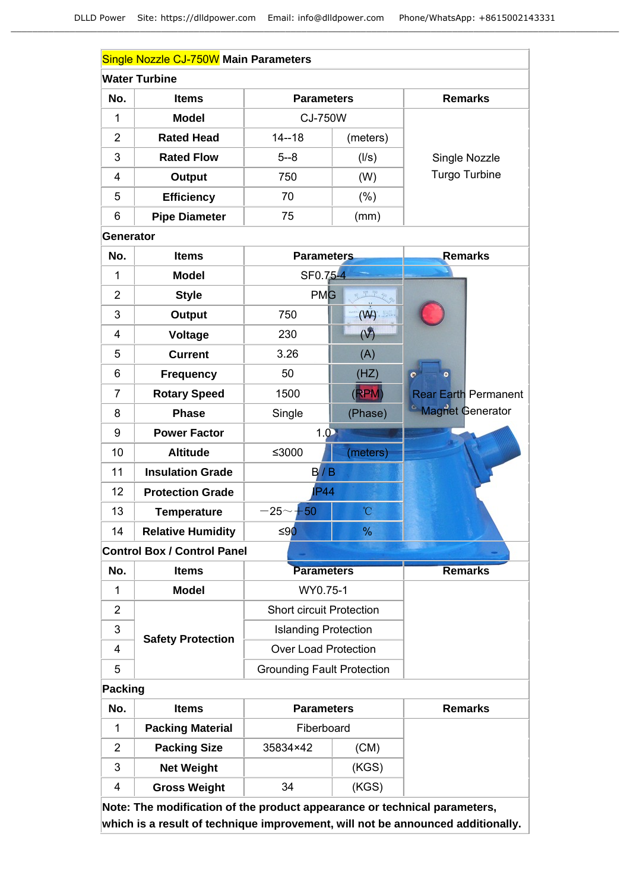|                  | Single Nozzle CJ-750W Main Parameters |                                   |                |                               |
|------------------|---------------------------------------|-----------------------------------|----------------|-------------------------------|
|                  | <b>Water Turbine</b>                  |                                   |                |                               |
| No.              | <b>Items</b>                          | <b>Parameters</b>                 |                | <b>Remarks</b>                |
| $\mathbf 1$      | <b>Model</b>                          | <b>CJ-750W</b>                    |                |                               |
| $\overline{2}$   | <b>Rated Head</b>                     | $14 - 18$                         | (meters)       |                               |
| 3                | <b>Rated Flow</b>                     | $5 - 8$                           | (1/s)          | Single Nozzle                 |
| 4                | <b>Output</b>                         | 750                               | (W)            | Turgo Turbine                 |
| 5                | <b>Efficiency</b>                     | 70                                | $(\%)$         |                               |
| 6                | <b>Pipe Diameter</b>                  | 75                                | (mm)           |                               |
| <b>Generator</b> |                                       |                                   |                |                               |
| No.              | <b>Items</b>                          | <b>Parameters</b>                 |                | <b>Remarks</b>                |
| $\mathbf{1}$     | <b>Model</b>                          | SF0.75-4                          |                |                               |
| $\overline{2}$   | <b>Style</b>                          | <b>PMG</b>                        |                |                               |
| 3                | <b>Output</b>                         | 750                               | (W)            |                               |
| 4                | <b>Voltage</b>                        | 230                               | (V)            |                               |
| 5                | <b>Current</b>                        | 3.26                              | (A)            |                               |
| 6                | <b>Frequency</b>                      | 50                                | (HZ)           |                               |
| $\overline{7}$   | <b>Rotary Speed</b>                   | 1500                              | (RPM)          | <b>Rear Earth Permanent</b>   |
| 8                | <b>Phase</b>                          | Single                            | (Phase)        | <sup>6</sup> Magnet Generator |
| 9                | <b>Power Factor</b>                   | 1.0                               |                |                               |
| 10               | <b>Altitude</b>                       | ≤3000                             | (meters)       |                               |
| 11               | <b>Insulation Grade</b>               | B/B                               |                |                               |
| 12               | <b>Protection Grade</b>               | <b>P44</b>                        |                |                               |
| 13               | <b>Temperature</b>                    | $-25$ $\sim$<br>$+50$             | $\overline{C}$ |                               |
| 14               | <b>Relative Humidity</b>              | ≤90                               | $\frac{0}{6}$  |                               |
|                  | <b>Control Box / Control Panel</b>    |                                   |                |                               |
| No.              | <b>Items</b>                          | <b>Parameters</b>                 |                | <b>Remarks</b>                |
| 1                | <b>Model</b>                          | WY0.75-1                          |                |                               |
| $\overline{2}$   |                                       | <b>Short circuit Protection</b>   |                |                               |
| 3                | <b>Safety Protection</b>              | <b>Islanding Protection</b>       |                |                               |
| 4                |                                       | <b>Over Load Protection</b>       |                |                               |
| 5                |                                       | <b>Grounding Fault Protection</b> |                |                               |
| Packing          |                                       |                                   |                |                               |
| No.              | <b>Items</b>                          | <b>Parameters</b>                 |                | <b>Remarks</b>                |

| No. | Items                   | <b>Parameters</b> |       | Remarks |
|-----|-------------------------|-------------------|-------|---------|
|     | <b>Packing Material</b> | Fiberboard        |       |         |
| 2   | <b>Packing Size</b>     | 35834×42          | (CM)  |         |
| 3   | <b>Net Weight</b>       |                   | (KGS) |         |
| 4   | <b>Gross Weight</b>     | 34                | (KGS) |         |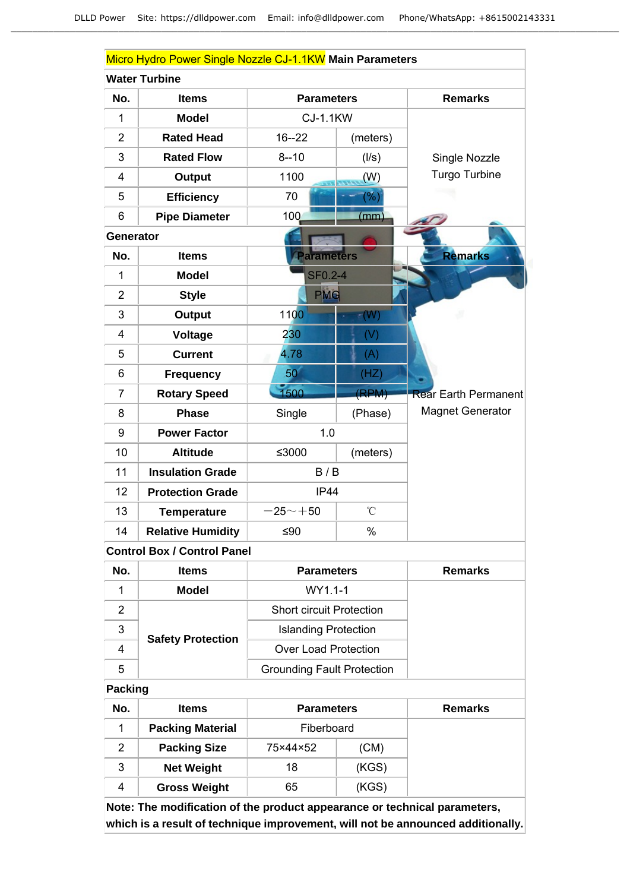|                | Micro Hydro Power Single Nozzle CJ-1.1KW Main Parameters |                    |                 |                             |  |  |
|----------------|----------------------------------------------------------|--------------------|-----------------|-----------------------------|--|--|
|                | <b>Water Turbine</b>                                     |                    |                 |                             |  |  |
| No.            | <b>Items</b>                                             | <b>Parameters</b>  |                 | <b>Remarks</b>              |  |  |
| 1              | <b>Model</b>                                             | <b>CJ-1.1KW</b>    |                 |                             |  |  |
| $\overline{2}$ | <b>Rated Head</b>                                        | $16 - 22$          | (meters)        |                             |  |  |
| 3              | <b>Rated Flow</b>                                        | $8 - 10$           | (1/s)           | Single Nozzle               |  |  |
| $\overline{4}$ | <b>Output</b>                                            | 1100               | (W)             | <b>Turgo Turbine</b>        |  |  |
| 5              | <b>Efficiency</b>                                        | 70                 | (%)             |                             |  |  |
| 6              | <b>Pipe Diameter</b>                                     | 100                | (mm)            |                             |  |  |
| Generator      |                                                          |                    |                 |                             |  |  |
| No.            | <b>Items</b>                                             | arameters          |                 | <b>Remarks</b>              |  |  |
| 1              | <b>Model</b>                                             | <b>SF0.2-4</b>     |                 |                             |  |  |
| $\overline{2}$ | <b>Style</b>                                             | <b>PMG</b>         |                 |                             |  |  |
| 3              | <b>Output</b>                                            | 1100               | $-W$            |                             |  |  |
| $\overline{4}$ | Voltage                                                  | 230                | (V)             |                             |  |  |
| 5              | <b>Current</b>                                           | 4.78               | (A)             |                             |  |  |
| 6              | <b>Frequency</b>                                         | 50                 | (HZ)            |                             |  |  |
| $\overline{7}$ | <b>Rotary Speed</b>                                      | 1500               | (RPM)           | <b>Rear Earth Permanent</b> |  |  |
| 8              | <b>Phase</b>                                             | Single             | (Phase)         | <b>Magnet Generator</b>     |  |  |
| 9              | <b>Power Factor</b>                                      | 1.0                |                 |                             |  |  |
| 10             | <b>Altitude</b>                                          | ≤3000              | (meters)        |                             |  |  |
| 11             | <b>Insulation Grade</b>                                  | B/B                |                 |                             |  |  |
| 12             | <b>Protection Grade</b>                                  | IP44               |                 |                             |  |  |
| 13             | <b>Temperature</b>                                       | $-25$ $\sim$ $+50$ | $\rm ^{\circ}C$ |                             |  |  |
| 14             | <b>Relative Humidity</b>                                 | $≤90$              | $\%$            |                             |  |  |

# **Control Box / Control Panel**

| No. | <b>Items</b>             | <b>Parameters</b>                 | Remarks |
|-----|--------------------------|-----------------------------------|---------|
|     | <b>Model</b>             | WY1.1-1                           |         |
|     |                          | <b>Short circuit Protection</b>   |         |
| 3   | <b>Safety Protection</b> | <b>Islanding Protection</b>       |         |
| 4   |                          | <b>Over Load Protection</b>       |         |
| 5   |                          | <b>Grounding Fault Protection</b> |         |

## **Packing**

| No. | <b>Items</b>            | <b>Parameters</b> | <b>Remarks</b> |  |
|-----|-------------------------|-------------------|----------------|--|
|     | <b>Packing Material</b> | Fiberboard        |                |  |
| 2   | <b>Packing Size</b>     | 75×44×52          | (CM)           |  |
| 3   | <b>Net Weight</b>       | 18                | (KGS)          |  |
| 4   | <b>Gross Weight</b>     | 65                | (KGS)          |  |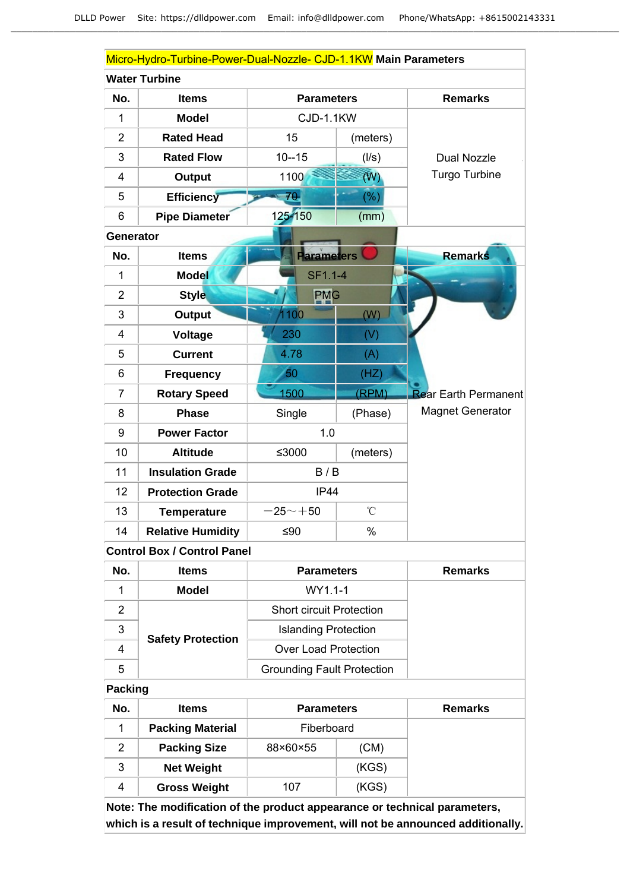|                                    | Micro-Hydro-Turbine-Power-Dual-Nozzle- CJD-1.1KW Main Parameters |                   |              |                             |  |
|------------------------------------|------------------------------------------------------------------|-------------------|--------------|-----------------------------|--|
|                                    | <b>Water Turbine</b>                                             |                   |              |                             |  |
| No.                                | <b>Items</b>                                                     | <b>Parameters</b> |              | <b>Remarks</b>              |  |
| $\overline{1}$                     | <b>Model</b>                                                     | CJD-1.1KW         |              |                             |  |
| $\overline{2}$                     | <b>Rated Head</b>                                                | 15                | (meters)     |                             |  |
| 3                                  | <b>Rated Flow</b>                                                | $10 - 15$         | (1/s)        | <b>Dual Nozzle</b>          |  |
| $\overline{\mathbf{4}}$            | Output                                                           | 1100              | (W)          | <b>Turgo Turbine</b>        |  |
| 5                                  | <b>Efficiency</b>                                                | 70                | (%)          |                             |  |
| 6                                  | Pipe Diameter                                                    | 125-150           | (mm)         |                             |  |
| Generator                          |                                                                  |                   |              |                             |  |
| No.                                | <b>Items</b>                                                     | <b>Parameters</b> |              | <b>Remarks</b>              |  |
| 1                                  | <b>Model</b>                                                     | SF1.1-4           |              |                             |  |
| $\overline{2}$                     | <b>Style</b>                                                     | <b>PMG</b>        |              |                             |  |
| 3                                  | <b>Output</b>                                                    | 1100              | (W)          |                             |  |
| $\overline{4}$                     | Voltage                                                          | 230               | (V)          |                             |  |
| 5                                  | <b>Current</b>                                                   | 4.78              | (A)          |                             |  |
| 6                                  | <b>Frequency</b>                                                 | 50                | (HZ)         |                             |  |
| $\overline{7}$                     | <b>Rotary Speed</b>                                              | 1500              | (RPM)        | <b>Rear Earth Permanent</b> |  |
| 8                                  | <b>Phase</b>                                                     | Single            | (Phase)      | <b>Magnet Generator</b>     |  |
| 9                                  | <b>Power Factor</b>                                              | 1.0               |              |                             |  |
| 10                                 | <b>Altitude</b>                                                  | ≤3000             | (meters)     |                             |  |
| 11                                 | <b>Insulation Grade</b>                                          | B/B               |              |                             |  |
| 12                                 | <b>Protection Grade</b>                                          | IP44              |              |                             |  |
| 13                                 | <b>Temperature</b>                                               | $-25 - +50$       | $^{\circ}$ C |                             |  |
| 14                                 | <b>Relative Humidity</b>                                         | $≤90$             | $\%$         |                             |  |
| <b>Control Box / Control Panel</b> |                                                                  |                   |              |                             |  |

**No. Items Parameters Remarks** 1 **Model** WY1.1-1 2 | Short circuit Protection 3 | **Contract Contract Contract Contract Contract Contract Contract Contract Contract Contract Contract Contract Contract Contract Contract Contract Contract Contract Contract Contract Contract Contract Contract Contract C Safety Protection**

4 | Carlos Protection | Over Load Protection

### **Packing**

5

| No. | <b>Items</b>            | <b>Parameters</b> |       | Remarks |
|-----|-------------------------|-------------------|-------|---------|
|     | <b>Packing Material</b> | Fiberboard        |       |         |
| 2   | <b>Packing Size</b>     | 88×60×55          | (CM)  |         |
| 3   | <b>Net Weight</b>       |                   | (KGS) |         |
| 4   | <b>Gross Weight</b>     | 107               | (KGS) |         |

Grounding Fault Protection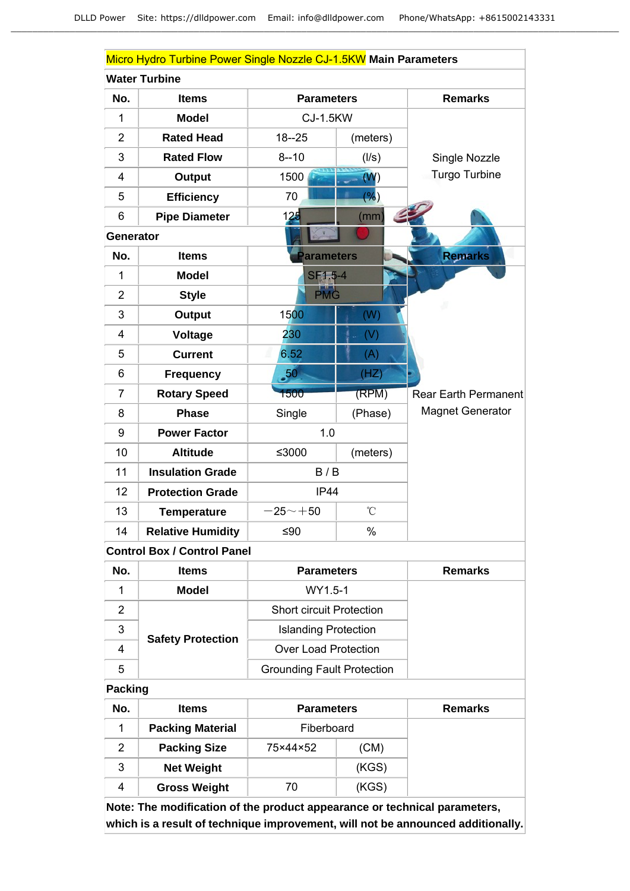|                         | Micro Hydro Turbine Power Single Nozzle CJ-1.5KW Main Parameters |                   |                 |                             |  |
|-------------------------|------------------------------------------------------------------|-------------------|-----------------|-----------------------------|--|
|                         | <b>Water Turbine</b>                                             |                   |                 |                             |  |
| No.                     | <b>Items</b>                                                     | <b>Parameters</b> |                 | <b>Remarks</b>              |  |
| 1                       | <b>Model</b>                                                     | <b>CJ-1.5KW</b>   |                 |                             |  |
| $\overline{2}$          | <b>Rated Head</b>                                                | $18 - 25$         | (meters)        |                             |  |
| 3                       | <b>Rated Flow</b>                                                | $8 - 10$          | (1/s)           | Single Nozzle               |  |
| $\overline{\mathbf{4}}$ | <b>Output</b>                                                    | 1500              | (W)             | Turgo Turbine               |  |
| 5                       | <b>Efficiency</b>                                                | 70                | (%)             |                             |  |
| 6                       | <b>Pipe Diameter</b>                                             | 125               | (mm)            |                             |  |
| <b>Generator</b>        |                                                                  |                   |                 |                             |  |
| No.                     | <b>Items</b>                                                     | arameters         |                 | <b>Remarks</b>              |  |
| 1                       | <b>Model</b>                                                     | SF1.5-4           |                 |                             |  |
| $\overline{2}$          | <b>Style</b>                                                     | PMG               |                 |                             |  |
| 3                       | <b>Output</b>                                                    | 1500              | (W)             |                             |  |
| 4                       | Voltage                                                          | 230               | (V)             |                             |  |
| 5                       | <b>Current</b>                                                   | 6.52              | (A)             |                             |  |
| 6                       | <b>Frequency</b>                                                 | $\overline{.50}$  | (HZ)            |                             |  |
| $\overline{7}$          | <b>Rotary Speed</b>                                              | 1500              | (RPM)           | <b>Rear Earth Permanent</b> |  |
| 8                       | <b>Phase</b>                                                     | Single            | (Phase)         | <b>Magnet Generator</b>     |  |
| 9                       | <b>Power Factor</b>                                              | 1.0               |                 |                             |  |
| 10                      | <b>Altitude</b>                                                  | ≤3000             | (meters)        |                             |  |
| 11                      | <b>Insulation Grade</b>                                          | B/B               |                 |                             |  |
| 12                      | <b>Protection Grade</b>                                          | IP44              |                 |                             |  |
| 13                      | <b>Temperature</b>                                               | $-25 - +50$       | $\rm ^{\circ}C$ |                             |  |
| 14                      | <b>Relative Humidity</b>                                         | $≤90$             | $\%$            |                             |  |

# **Control Box / Control Panel**

| No. | <b>Items</b>             | <b>Parameters</b>                 | <b>Remarks</b> |
|-----|--------------------------|-----------------------------------|----------------|
|     | <b>Model</b>             | WY1.5-1                           |                |
| 2   |                          | <b>Short circuit Protection</b>   |                |
| 3   | <b>Safety Protection</b> | <b>Islanding Protection</b>       |                |
| 4   |                          | <b>Over Load Protection</b>       |                |
| 5   |                          | <b>Grounding Fault Protection</b> |                |

## **Packing**

| No. | <b>Items</b>            | <b>Parameters</b> |       | <b>Remarks</b> |
|-----|-------------------------|-------------------|-------|----------------|
|     | <b>Packing Material</b> | Fiberboard        |       |                |
| 2   | <b>Packing Size</b>     | 75×44×52          | (CM)  |                |
| 3   | <b>Net Weight</b>       |                   | (KGS) |                |
| 4   | <b>Gross Weight</b>     | 70                | (KGS) |                |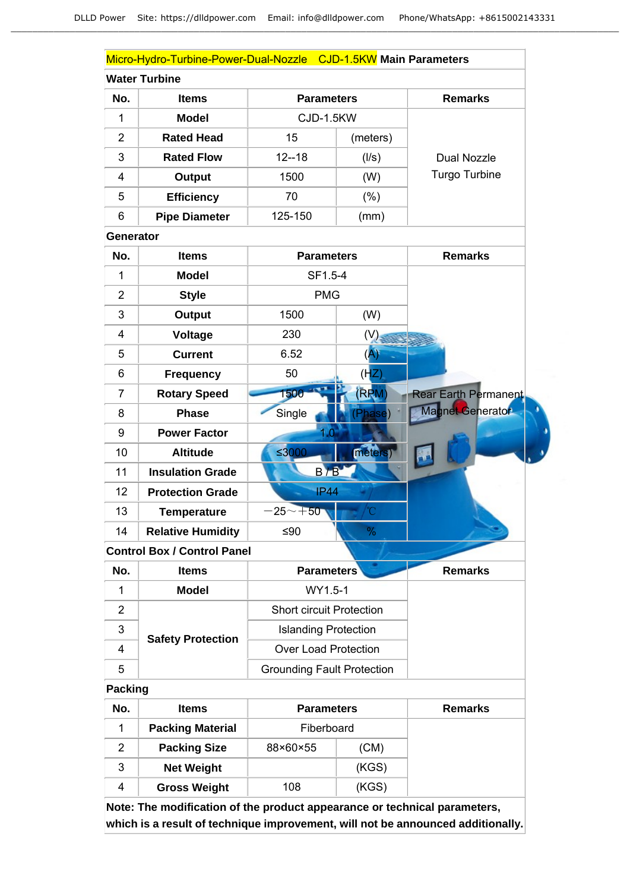|                  | Micro-Hydro-Turbine-Power-Dual-Nozzle CJD-1.5KW Main Parameters |                                   |                   |                             |
|------------------|-----------------------------------------------------------------|-----------------------------------|-------------------|-----------------------------|
|                  | <b>Water Turbine</b>                                            |                                   |                   |                             |
| No.              | <b>Items</b>                                                    |                                   | <b>Parameters</b> |                             |
| 1                | <b>Model</b>                                                    | CJD-1.5KW                         |                   |                             |
| $\overline{2}$   | <b>Rated Head</b>                                               | 15                                | (meters)          |                             |
| 3                | <b>Rated Flow</b>                                               | $12 - 18$                         | (1/s)             | <b>Dual Nozzle</b>          |
| 4                | <b>Output</b>                                                   | 1500                              | (W)               | <b>Turgo Turbine</b>        |
| 5                | <b>Efficiency</b>                                               | 70                                | $(\%)$            |                             |
| 6                | <b>Pipe Diameter</b>                                            | 125-150                           | (mm)              |                             |
| <b>Generator</b> |                                                                 |                                   |                   |                             |
| No.              | <b>Items</b>                                                    | <b>Parameters</b>                 |                   | <b>Remarks</b>              |
| 1                | <b>Model</b>                                                    | SF1.5-4                           |                   |                             |
| $\overline{2}$   | <b>Style</b>                                                    | <b>PMG</b>                        |                   |                             |
| 3                | <b>Output</b>                                                   | 1500                              | (W)               |                             |
| 4                | Voltage                                                         | 230                               | (V)               |                             |
| 5                | <b>Current</b>                                                  | 6.52                              | (A)               |                             |
| 6                | <b>Frequency</b>                                                | 50                                | (HZ)              |                             |
| 7                | <b>Rotary Speed</b>                                             | 1500                              | (RRM)             | <b>Rear Earth Permanent</b> |
| 8                | <b>Phase</b>                                                    | Single                            | Phase             | Magnet Generator            |
| 9                | <b>Power Factor</b>                                             |                                   |                   |                             |
| 10               | <b>Altitude</b>                                                 | ≤3000                             | meters)           |                             |
| 11               | <b>Insulation Grade</b>                                         | B/B                               |                   |                             |
| 12               | <b>Protection Grade</b>                                         | <b>IP44</b>                       |                   |                             |
| 13               | <b>Temperature</b>                                              | $-25$ $\sim$ $+50^{\circ}$        |                   |                             |
| 14               | <b>Relative Humidity</b>                                        | ≤ $90$                            | $\%$              |                             |
|                  | <b>Control Box / Control Panel</b>                              |                                   |                   |                             |
| No.              | <b>Items</b>                                                    | <b>Parameters</b>                 |                   | <b>Remarks</b>              |
| 1                | <b>Model</b>                                                    | WY1.5-1                           |                   |                             |
| $\overline{2}$   |                                                                 | <b>Short circuit Protection</b>   |                   |                             |
| 3                | <b>Safety Protection</b>                                        | <b>Islanding Protection</b>       |                   |                             |
| 4                |                                                                 | <b>Over Load Protection</b>       |                   |                             |
| 5                |                                                                 | <b>Grounding Fault Protection</b> |                   |                             |
| <b>Packing</b>   |                                                                 |                                   |                   |                             |
| No.              | <b>Items</b>                                                    | <b>Parameters</b>                 |                   | <b>Remarks</b>              |
| $\mathbf{1}$     | <b>Packing Material</b>                                         | Fiberboard                        |                   |                             |
| $\overline{2}$   | <b>Packing Size</b>                                             | 88×60×55                          | (CM)              |                             |

3 **Net Weight** (KGS)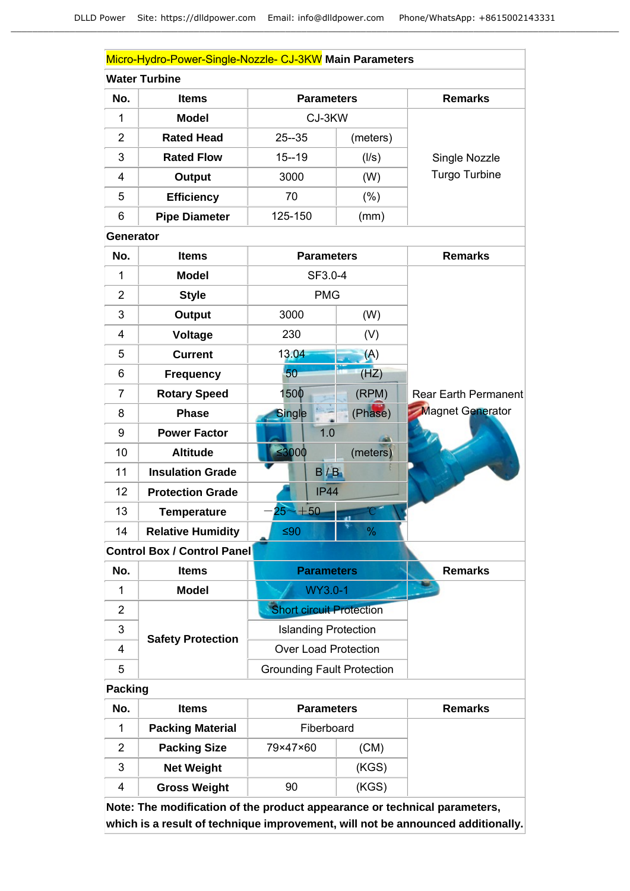|                  | Micro-Hydro-Power-Single-Nozzle- CJ-3KW Main Parameters |                                   |               |                      |
|------------------|---------------------------------------------------------|-----------------------------------|---------------|----------------------|
|                  | <b>Water Turbine</b>                                    |                                   |               |                      |
| No.              | <b>Items</b>                                            | <b>Parameters</b>                 |               | <b>Remarks</b>       |
| 1                | <b>Model</b>                                            | CJ-3KW                            |               |                      |
| $\overline{2}$   | <b>Rated Head</b>                                       | $25 - 35$                         | (meters)      |                      |
| 3                | <b>Rated Flow</b>                                       | $15 - 19$                         | (1/s)         | Single Nozzle        |
| $\overline{4}$   | <b>Output</b>                                           | 3000                              | (W)           | Turgo Turbine        |
| 5                | <b>Efficiency</b>                                       | 70                                | $(\% )$       |                      |
| 6                | <b>Pipe Diameter</b>                                    | 125-150                           | (mm)          |                      |
| <b>Generator</b> |                                                         |                                   |               |                      |
| No.              | <b>Items</b>                                            | <b>Parameters</b>                 |               | <b>Remarks</b>       |
| 1                | <b>Model</b>                                            | SF3.0-4                           |               |                      |
| $\overline{2}$   | <b>Style</b>                                            | <b>PMG</b>                        |               |                      |
| 3                | <b>Output</b>                                           | 3000                              | (W)           |                      |
| 4                | <b>Voltage</b>                                          | 230                               | (V)           |                      |
| 5                | <b>Current</b>                                          | 13.04                             | (A)           |                      |
| 6                | <b>Frequency</b>                                        | 50                                | (HZ)          |                      |
| $\overline{7}$   | <b>Rotary Speed</b>                                     | 1500                              | (RPM)         | Rear Earth Permanent |
| 8                | <b>Phase</b>                                            | <b>Single</b>                     | (Phase)       | Magnet Generator     |
| 9                | <b>Power Factor</b>                                     | 1.0                               |               |                      |
| 10               | <b>Altitude</b>                                         | $\leq 3000$                       | (meters)      |                      |
| 11               | <b>Insulation Grade</b>                                 | B/B                               |               |                      |
| 12               | <b>Protection Grade</b>                                 | <b>IP44</b>                       |               |                      |
| 13               | <b>Temperature</b>                                      | $25 - +50$                        |               |                      |
| 14               | <b>Relative Humidity</b>                                | $≤90$                             | $\frac{9}{6}$ |                      |
|                  | <b>Control Box / Control Panel</b>                      |                                   |               |                      |
| No.              | <b>Items</b>                                            | <b>Parameters</b>                 |               | <b>Remarks</b>       |
| 1                | <b>Model</b>                                            | WY3.0-1                           |               |                      |
| $\overline{2}$   |                                                         | <b>Short circuit Protection</b>   |               |                      |
| 3                | <b>Safety Protection</b>                                | <b>Islanding Protection</b>       |               |                      |
| 4                |                                                         | <b>Over Load Protection</b>       |               |                      |
| 5                |                                                         | <b>Grounding Fault Protection</b> |               |                      |
| <b>Packing</b>   |                                                         |                                   |               |                      |
|                  |                                                         |                                   |               |                      |

| No. | <b>Items</b>            | <b>Parameters</b> |       | <b>Remarks</b> |
|-----|-------------------------|-------------------|-------|----------------|
|     | <b>Packing Material</b> | Fiberboard        |       |                |
| 2   | <b>Packing Size</b>     | 79×47×60          | (CM)  |                |
| 3   | <b>Net Weight</b>       |                   | (KGS) |                |
| 4   | <b>Gross Weight</b>     | 90                | (KGS) |                |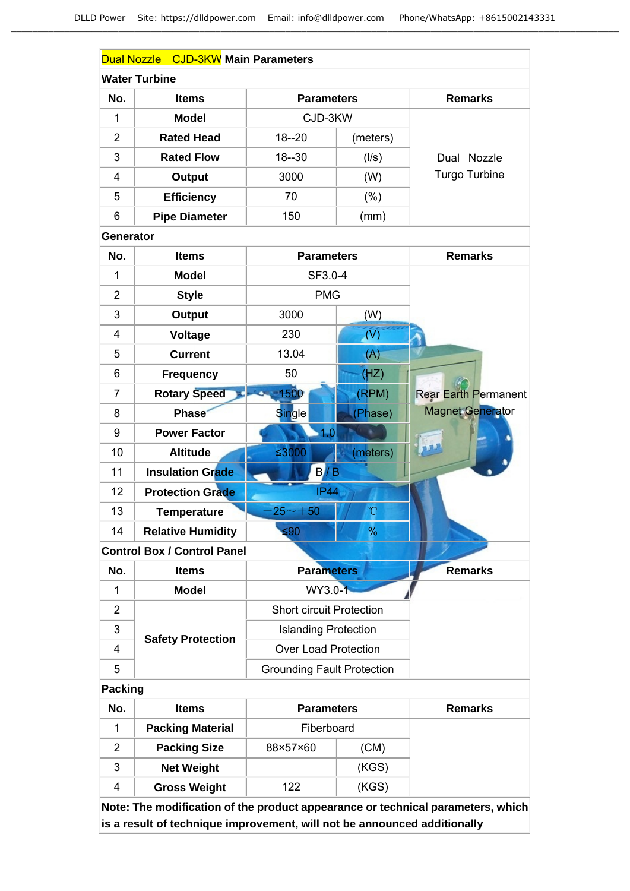|                  | Dual Nozzle CJD-3KW Main Parameters |                                   |                |                             |
|------------------|-------------------------------------|-----------------------------------|----------------|-----------------------------|
|                  | <b>Water Turbine</b>                |                                   |                |                             |
| No.              | <b>Items</b>                        | <b>Parameters</b>                 |                | <b>Remarks</b>              |
| 1                | <b>Model</b>                        | CJD-3KW                           |                |                             |
| $\overline{2}$   | <b>Rated Head</b>                   | $18 - 20$                         | (meters)       |                             |
| 3                | <b>Rated Flow</b>                   | $18 - 30$                         | (1/s)          | Dual Nozzle                 |
| 4                | Output                              | 3000                              | (W)            | <b>Turgo Turbine</b>        |
| 5                | <b>Efficiency</b>                   | 70                                | $(\% )$        |                             |
| 6                | <b>Pipe Diameter</b>                | 150                               | (mm)           |                             |
| <b>Generator</b> |                                     |                                   |                |                             |
| No.              | <b>Items</b>                        | <b>Parameters</b>                 |                | <b>Remarks</b>              |
| 1                | <b>Model</b>                        | SF3.0-4                           |                |                             |
| $\overline{2}$   | <b>Style</b>                        | <b>PMG</b>                        |                |                             |
| 3                | <b>Output</b>                       | 3000                              | (W)            |                             |
| 4                | <b>Voltage</b>                      | 230                               | (V)            |                             |
| 5                | <b>Current</b>                      | 13.04                             | (A)            |                             |
| 6                | <b>Frequency</b>                    | 50                                | (HZ)           |                             |
| $\overline{7}$   | <b>Rotary Speed</b>                 | 1500                              | (RPM)          | <b>Rear Earth Permanent</b> |
| 8                | <b>Phase</b>                        | Single                            | (Phase)        | <b>Magnet Generator</b>     |
| 9                | <b>Power Factor</b>                 | 1.0                               |                |                             |
| 10               | <b>Altitude</b>                     | ≤3000                             | (meters)       |                             |
| 11               | <b>Insulation Grade</b>             | B/B                               |                |                             |
| 12               | <b>Protection Grade</b>             | <b>IP44</b>                       |                |                             |
| 13               | <b>Temperature</b>                  | $25 - +50$                        | $\overline{C}$ |                             |
| 14               | <b>Relative Humidity</b>            | ≤90                               | %              |                             |
|                  | <b>Control Box / Control Panel</b>  |                                   |                |                             |
| No.              | <b>Items</b>                        | <b>Parameters</b>                 |                | <b>Remarks</b>              |
| 1                | <b>Model</b>                        | WY3.0-1                           |                |                             |
| $\overline{2}$   |                                     | <b>Short circuit Protection</b>   |                |                             |
| 3                | <b>Safety Protection</b>            | <b>Islanding Protection</b>       |                |                             |
| 4                |                                     | <b>Over Load Protection</b>       |                |                             |
| 5                |                                     | <b>Grounding Fault Protection</b> |                |                             |
| <b>Packing</b>   |                                     |                                   |                |                             |
| No.              | <b>Items</b>                        | <b>Parameters</b>                 |                | <b>Remarks</b>              |

| No. | <b>Items</b>            | <b>Parameters</b> |       | <b>Remarks</b> |
|-----|-------------------------|-------------------|-------|----------------|
|     | <b>Packing Material</b> | Fiberboard        |       |                |
| 2   | <b>Packing Size</b>     | 88×57×60          | (CM)  |                |
| 3   | <b>Net Weight</b>       |                   | (KGS) |                |
| 4   | <b>Gross Weight</b>     | 122               | (KGS) |                |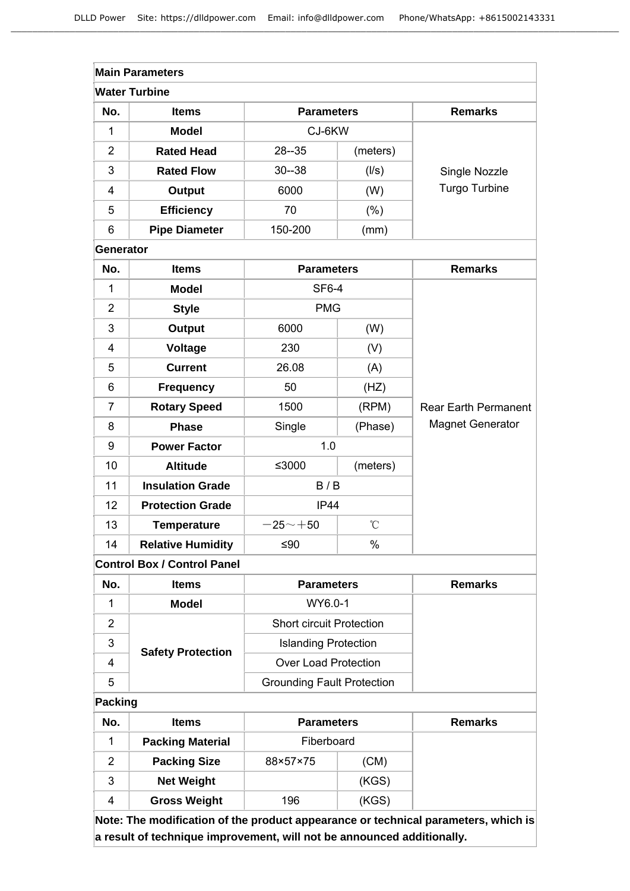|                  | <b>Main Parameters</b>             |                                   |                 |                             |
|------------------|------------------------------------|-----------------------------------|-----------------|-----------------------------|
|                  | <b>Water Turbine</b>               |                                   |                 |                             |
| No.              | <b>Items</b>                       | <b>Parameters</b>                 |                 | <b>Remarks</b>              |
| 1                | <b>Model</b>                       | CJ-6KW                            |                 |                             |
| $\overline{2}$   | <b>Rated Head</b>                  | $28 - 35$<br>(meters)             |                 |                             |
| 3                | <b>Rated Flow</b>                  | $30 - 38$                         | (1/s)           | Single Nozzle               |
| 4                | <b>Output</b>                      | 6000                              | (W)             | Turgo Turbine               |
| 5                | <b>Efficiency</b>                  | 70                                | $(\% )$         |                             |
| 6                | <b>Pipe Diameter</b>               | 150-200                           | (mm)            |                             |
| <b>Generator</b> |                                    |                                   |                 |                             |
| No.              | <b>Items</b>                       | <b>Parameters</b>                 |                 | <b>Remarks</b>              |
| 1                | <b>Model</b>                       | <b>SF6-4</b>                      |                 |                             |
| $\overline{2}$   | <b>Style</b>                       | <b>PMG</b>                        |                 |                             |
| 3                | <b>Output</b>                      | 6000                              | (W)             |                             |
| 4                | <b>Voltage</b>                     | 230                               | (V)             |                             |
| 5                | <b>Current</b>                     | 26.08                             | (A)             |                             |
| 6                | <b>Frequency</b>                   | 50                                | (HZ)            |                             |
| 7                | <b>Rotary Speed</b>                | 1500                              | (RPM)           | <b>Rear Earth Permanent</b> |
| 8                | <b>Phase</b>                       | Single                            | (Phase)         | <b>Magnet Generator</b>     |
| 9                | <b>Power Factor</b>                | 1.0                               |                 |                             |
| 10               | <b>Altitude</b>                    | ≤3000                             | (meters)        |                             |
| 11               | <b>Insulation Grade</b>            | B/B                               |                 |                             |
| 12               | <b>Protection Grade</b>            | IP44                              |                 |                             |
| 13               | <b>Temperature</b>                 | $-25 - +50$                       | $\rm ^{\circ}C$ |                             |
| 14               | <b>Relative Humidity</b>           | ≤ $90$                            | $\%$            |                             |
|                  | <b>Control Box / Control Panel</b> |                                   |                 |                             |
| No.              | <b>Items</b>                       | <b>Parameters</b>                 |                 | <b>Remarks</b>              |
| 1                | <b>Model</b>                       | WY6.0-1                           |                 |                             |
| $\overline{2}$   |                                    | <b>Short circuit Protection</b>   |                 |                             |
| 3                | <b>Safety Protection</b>           | <b>Islanding Protection</b>       |                 |                             |
| 4                |                                    | <b>Over Load Protection</b>       |                 |                             |
| 5                |                                    | <b>Grounding Fault Protection</b> |                 |                             |

# **Packing**

| No. | <b>Items</b>            | <b>Parameters</b> |       | <b>Remarks</b> |
|-----|-------------------------|-------------------|-------|----------------|
|     | <b>Packing Material</b> | Fiberboard        |       |                |
|     | <b>Packing Size</b>     | 88×57×75          | (CM)  |                |
| 3   | <b>Net Weight</b>       |                   | (KGS) |                |
|     | <b>Gross Weight</b>     | 196               | (KGS) |                |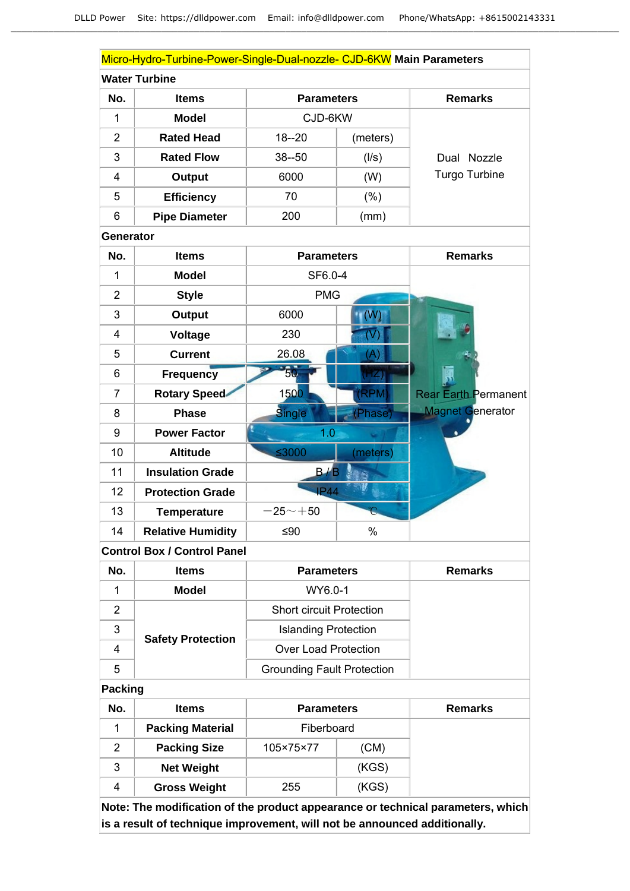|                  | Micro-Hydro-Turbine-Power-Single-Dual-nozzle- CJD-6KW Main Parameters |                   |          |                             |
|------------------|-----------------------------------------------------------------------|-------------------|----------|-----------------------------|
|                  | <b>Water Turbine</b>                                                  |                   |          |                             |
| No.              | <b>Items</b>                                                          | <b>Parameters</b> |          | <b>Remarks</b>              |
| $\mathbf{1}$     | <b>Model</b>                                                          | CJD-6KW           |          |                             |
| $\overline{2}$   | <b>Rated Head</b>                                                     | $18 - 20$         | (meters) |                             |
| 3                | <b>Rated Flow</b>                                                     | $38 - 50$         | (1/s)    | Dual Nozzle                 |
| 4                | Output                                                                | 6000              | (W)      | <b>Turgo Turbine</b>        |
| 5                | <b>Efficiency</b>                                                     | 70                | $(\% )$  |                             |
| 6                | <b>Pipe Diameter</b>                                                  | 200               | (mm)     |                             |
| <b>Generator</b> |                                                                       |                   |          |                             |
| No.              | <b>Items</b>                                                          | <b>Parameters</b> |          | <b>Remarks</b>              |
| $\mathbf{1}$     | <b>Model</b>                                                          | SF6.0-4           |          |                             |
| $\overline{2}$   | <b>Style</b>                                                          | <b>PMG</b>        |          |                             |
| 3                | Output                                                                | 6000              | (W)      |                             |
| 4                | <b>Voltage</b>                                                        | 230               | $(\vee)$ |                             |
| 5                | <b>Current</b>                                                        | 26.08             | (A)      |                             |
| $6\phantom{1}6$  | <b>Frequency</b>                                                      | ŜŨ.               | (HZ)     |                             |
| $\overline{7}$   | <b>Rotary Speed</b>                                                   | 1500              | (RPM)    | <b>Rear Earth Permanent</b> |
| 8                | <b>Phase</b>                                                          | <b>Single</b>     | (Phase)  | <b>Magnet Generator</b>     |
| 9                | <b>Power Factor</b>                                                   | 1.0               |          |                             |
| 10               | <b>Altitude</b>                                                       | $≤3000$           | (meters) |                             |
| 11               | <b>Insulation Grade</b>                                               | B/B               |          |                             |
| 12               | <b>Protection Grade</b>                                               | <b>IP44</b>       |          |                             |
| 13               | <b>Temperature</b>                                                    | $-25 - +50$       | C        |                             |
| 14               | <b>Relative Humidity</b>                                              | ≤ $90$            | %        |                             |
|                  | <b>Control Box / Control Panel</b>                                    |                   |          |                             |
| No.              | <b>Items</b>                                                          | <b>Parameters</b> |          | <b>Remarks</b>              |
| $\mathbf{1}$     | <b>Model</b>                                                          | WY6.0-1           |          |                             |

|   | <b>Model</b>             | WY6.0-1                           |
|---|--------------------------|-----------------------------------|
|   | <b>Safety Protection</b> | <b>Short circuit Protection</b>   |
| 3 |                          | <b>Islanding Protection</b>       |
|   |                          | Over Load Protection              |
| 5 |                          | <b>Grounding Fault Protection</b> |

# **Packing**

| No. | <b>Items</b>            | <b>Parameters</b> |       | <b>Remarks</b> |
|-----|-------------------------|-------------------|-------|----------------|
|     | <b>Packing Material</b> | Fiberboard        |       |                |
| 2   | <b>Packing Size</b>     | 105×75×77         | (CM)  |                |
| 3   | <b>Net Weight</b>       |                   | (KGS) |                |
| 4   | <b>Gross Weight</b>     | 255               | (KGS) |                |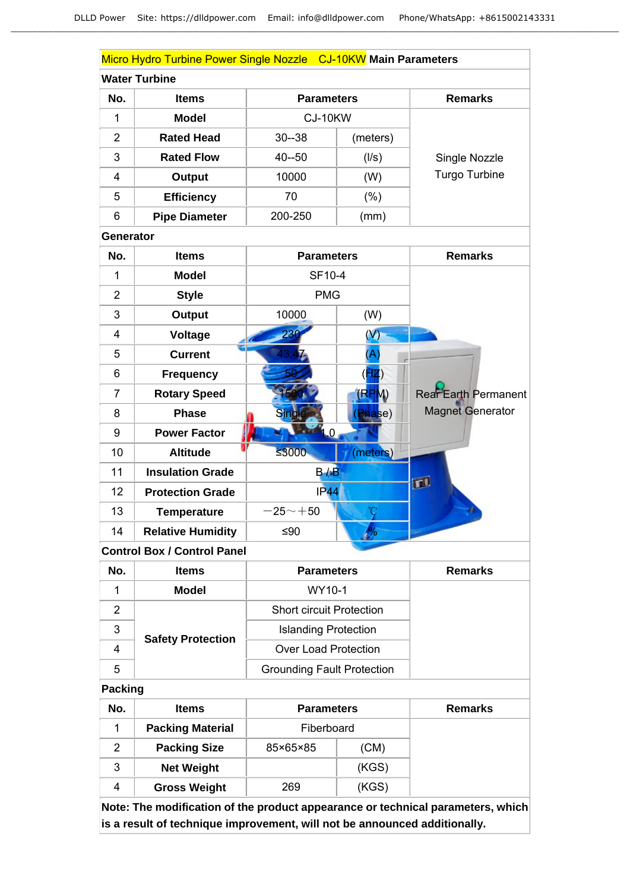|                | Micro Hydro Turbine Power Single Nozzle CJ-10KW Main Parameters |                                   |                         |                             |
|----------------|-----------------------------------------------------------------|-----------------------------------|-------------------------|-----------------------------|
|                | <b>Water Turbine</b>                                            |                                   |                         |                             |
| No.            | <b>Items</b>                                                    | <b>Parameters</b>                 |                         | <b>Remarks</b>              |
| $\mathbf{1}$   | <b>Model</b>                                                    | CJ-10KW                           |                         |                             |
| $\overline{2}$ | <b>Rated Head</b>                                               | $30 - 38$<br>(meters)             |                         |                             |
| 3              | <b>Rated Flow</b>                                               | $40 - 50$                         | (1/s)                   | Single Nozzle               |
| 4              | <b>Output</b>                                                   | 10000                             | (W)                     | <b>Turgo Turbine</b>        |
| 5              | <b>Efficiency</b>                                               | 70                                | (% )                    |                             |
| 6              | <b>Pipe Diameter</b>                                            | 200-250                           | (mm)                    |                             |
| Generator      |                                                                 |                                   |                         |                             |
| No.            | <b>Items</b>                                                    | <b>Parameters</b>                 |                         | <b>Remarks</b>              |
| $\mathbf{1}$   | <b>Model</b>                                                    | SF10-4                            |                         |                             |
| $\overline{2}$ | <b>Style</b>                                                    | <b>PMG</b>                        |                         |                             |
| 3              | <b>Output</b>                                                   | 10000                             | (W)                     |                             |
| 4              | Voltage                                                         | 236                               | $\left(\text{V}\right)$ |                             |
| 5              | <b>Current</b>                                                  |                                   | $(\mathsf{A})$          |                             |
| 6              | <b>Frequency</b>                                                |                                   | $H\mathbf{Z}$           |                             |
| $\overline{7}$ | <b>Rotary Speed</b>                                             |                                   | (RPM)                   | <b>Rear Earth Permanent</b> |
| 8              | <b>Phase</b>                                                    | Sing                              | (Phase)                 | <b>Magnet Generator</b>     |
| 9              | <b>Power Factor</b>                                             | <b>4.0</b>                        |                         |                             |
| 10             | <b>Altitude</b>                                                 | ≤3000                             | (meters)                |                             |
| 11             | <b>Insulation Grade</b>                                         | B/B                               |                         |                             |
| 12             | <b>Protection Grade</b>                                         | IP44                              |                         | Ø                           |
| 13             | <b>Temperature</b>                                              | $-25 - +50$                       | °C                      |                             |
| 14             | <b>Relative Humidity</b>                                        | ≤ $90$                            | $\frac{9}{6}$           |                             |
|                | <b>Control Box / Control Panel</b>                              |                                   |                         |                             |
| No.            | <b>Items</b>                                                    | <b>Parameters</b>                 |                         | <b>Remarks</b>              |
| 1              | <b>Model</b>                                                    | WY10-1                            |                         |                             |
| $\overline{2}$ |                                                                 | <b>Short circuit Protection</b>   |                         |                             |
| 3              | <b>Safety Protection</b>                                        | <b>Islanding Protection</b>       |                         |                             |
| 4              |                                                                 | <b>Over Load Protection</b>       |                         |                             |
| 5              |                                                                 | <b>Grounding Fault Protection</b> |                         |                             |
| Packing        |                                                                 |                                   |                         |                             |
| No.            | <b>Items</b>                                                    | <b>Parameters</b>                 |                         | <b>Remarks</b>              |
| $\mathbf 1$    | <b>Packing Material</b>                                         | Fiberboard                        |                         |                             |
| $\overline{2}$ | <b>Packing Size</b>                                             | 85×65×85                          | (CM)                    |                             |

3 **Net Weight** (KGS) 4 **Gross Weight** 269 (KGS)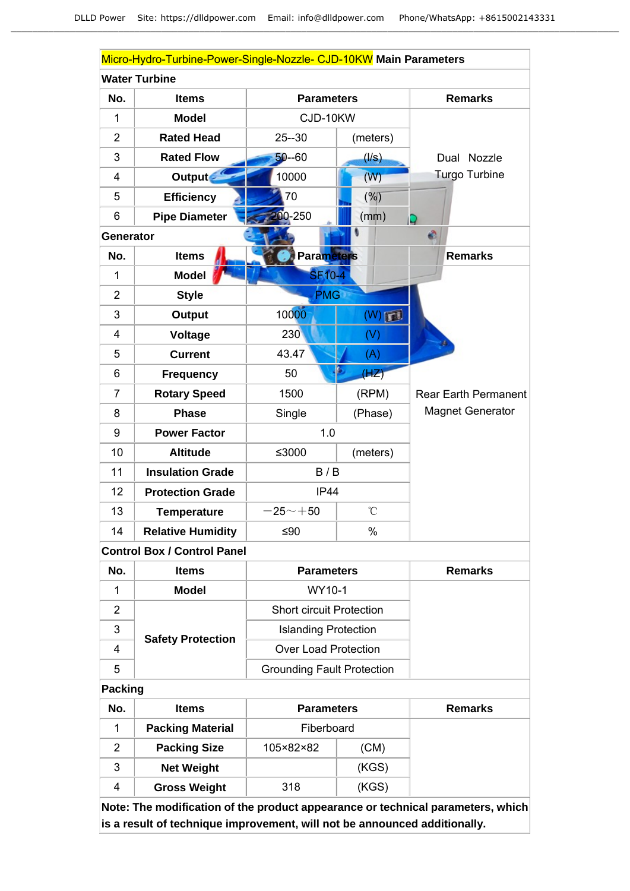| Micro-Hydro-Turbine-Power-Single-Nozzle- CJD-10KW Main Parameters |                          |                   |                 |                         |  |
|-------------------------------------------------------------------|--------------------------|-------------------|-----------------|-------------------------|--|
| <b>Water Turbine</b>                                              |                          |                   |                 |                         |  |
| No.                                                               | <b>Items</b>             | <b>Parameters</b> |                 | <b>Remarks</b>          |  |
| $\mathbf{1}$                                                      | <b>Model</b>             | CJD-10KW          |                 |                         |  |
| $\overline{2}$                                                    | <b>Rated Head</b>        | $25 - 30$         | (meters)        |                         |  |
| 3                                                                 | <b>Rated Flow</b>        | $50 - 60$         | (1/s)           | Dual<br>Nozzle          |  |
| $\overline{4}$                                                    | Output                   | 10000             | (W)             | <b>Turgo Turbine</b>    |  |
| 5                                                                 | <b>Efficiency</b>        | 70                | $(\%)$          |                         |  |
| 6                                                                 | <b>Pipe Diameter</b>     | $00 - 250$        | (mm)            |                         |  |
| <b>Generator</b>                                                  |                          |                   |                 | ۵                       |  |
| No.                                                               | <b>Items</b>             | <b>Parameters</b> |                 | <b>Remarks</b>          |  |
| $\mathbf{1}$                                                      | <b>Model</b>             | <b>SF10-4</b>     |                 |                         |  |
| $\overline{2}$                                                    | <b>Style</b>             | <b>PMG</b>        |                 |                         |  |
| 3                                                                 | <b>Output</b>            | 10000             | (W)             |                         |  |
| 4                                                                 | <b>Voltage</b>           | 230               | (V)             |                         |  |
| 5                                                                 | <b>Current</b>           | 43.47             | (A)             |                         |  |
| 6                                                                 | <b>Frequency</b>         | 50                | (HZ)            |                         |  |
| $\overline{7}$                                                    | <b>Rotary Speed</b>      | 1500              | (RPM)           | Rear Earth Permanent    |  |
| 8                                                                 | <b>Phase</b>             | Single            | (Phase)         | <b>Magnet Generator</b> |  |
| 9                                                                 | <b>Power Factor</b>      | 1.0               |                 |                         |  |
| 10                                                                | <b>Altitude</b>          | ≤3000             | (meters)        |                         |  |
| 11                                                                | <b>Insulation Grade</b>  | B/B               |                 |                         |  |
| 12                                                                | <b>Protection Grade</b>  | IP44              |                 |                         |  |
| 13                                                                | <b>Temperature</b>       | $-25 - +50$       | $\rm ^{\circ}C$ |                         |  |
| 14                                                                | <b>Relative Humidity</b> | $≤90$             | $\%$            |                         |  |

**Control Box / Control Panel**

| No. | <b>Items</b>             | <b>Parameters</b>                 | <b>Remarks</b> |  |
|-----|--------------------------|-----------------------------------|----------------|--|
|     | <b>Model</b>             | WY10-1                            |                |  |
| 2   |                          | <b>Short circuit Protection</b>   |                |  |
| 3   | <b>Safety Protection</b> | <b>Islanding Protection</b>       |                |  |
| 4   |                          | <b>Over Load Protection</b>       |                |  |
| 5   |                          | <b>Grounding Fault Protection</b> |                |  |

**Packing**

| No. | <b>Items</b>            | <b>Parameters</b> |       | <b>Remarks</b> |
|-----|-------------------------|-------------------|-------|----------------|
|     | <b>Packing Material</b> | Fiberboard        |       |                |
| 2   | <b>Packing Size</b>     | 105×82×82         | (CM)  |                |
| 3   | <b>Net Weight</b>       |                   | (KGS) |                |
| 4   | <b>Gross Weight</b>     | 318               | (KGS) |                |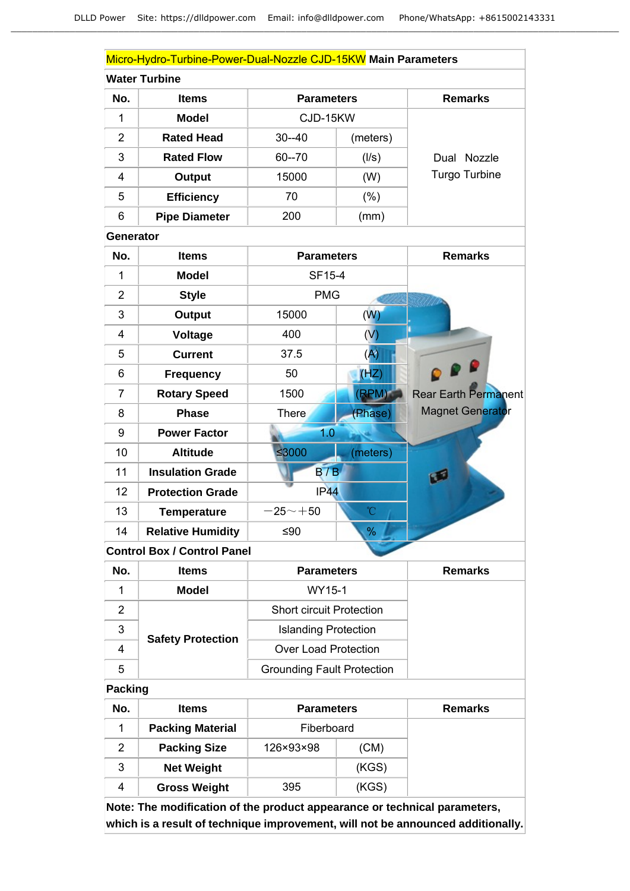|                  | Micro-Hydro-Turbine-Power-Dual-Nozzle CJD-15KW Main Parameters |                                   |          |                             |
|------------------|----------------------------------------------------------------|-----------------------------------|----------|-----------------------------|
|                  | <b>Water Turbine</b>                                           |                                   |          |                             |
| No.              | <b>Items</b>                                                   | <b>Parameters</b>                 |          | <b>Remarks</b>              |
| 1                | <b>Model</b>                                                   | CJD-15KW                          |          |                             |
| $\overline{2}$   | <b>Rated Head</b>                                              | $30 - 40$                         | (meters) |                             |
| 3                | <b>Rated Flow</b>                                              | $60 - 70$                         | (1/s)    | Dual Nozzle                 |
| 4                | <b>Output</b>                                                  | 15000                             | (W)      | Turgo Turbine               |
| 5                | <b>Efficiency</b>                                              | 70                                | $(\%)$   |                             |
| 6                | <b>Pipe Diameter</b>                                           | 200                               | (mm)     |                             |
| <b>Generator</b> |                                                                |                                   |          |                             |
| No.              | <b>Items</b>                                                   | <b>Parameters</b>                 |          | <b>Remarks</b>              |
| $\overline{1}$   | <b>Model</b>                                                   | SF15-4                            |          |                             |
| $\overline{2}$   | <b>Style</b>                                                   | <b>PMG</b>                        |          |                             |
| 3                | <b>Output</b>                                                  | 15000                             | (W)      |                             |
| 4                | <b>Voltage</b>                                                 | 400                               | (V)      |                             |
| 5                | <b>Current</b>                                                 | 37.5                              | (A)      |                             |
| 6                | <b>Frequency</b>                                               | 50                                | (HZ)     |                             |
| $\overline{7}$   | <b>Rotary Speed</b>                                            | 1500                              | (RPM)    | <b>Rear Earth Permanent</b> |
| 8                | <b>Phase</b>                                                   | <b>There</b>                      | (Phase)  | <b>Magnet Generator</b>     |
| 9                | <b>Power Factor</b>                                            | 1.0                               |          |                             |
| 10               | <b>Altitude</b>                                                | ≤3000                             | (meters) |                             |
| 11               | <b>Insulation Grade</b>                                        | B/B                               |          |                             |
| 12               | <b>Protection Grade</b>                                        | IP44                              |          |                             |
| 13               | <b>Temperature</b>                                             | $-25$ $\sim$ $+50$                | °C       |                             |
| 14               | <b>Relative Humidity</b>                                       | ≤ $90$                            | %        |                             |
|                  | <b>Control Box / Control Panel</b>                             |                                   |          |                             |
| No.              | <b>Items</b>                                                   | <b>Parameters</b>                 |          | <b>Remarks</b>              |
| 1                | <b>Model</b>                                                   | WY15-1                            |          |                             |
| $\overline{2}$   |                                                                | <b>Short circuit Protection</b>   |          |                             |
| 3                | <b>Safety Protection</b>                                       | <b>Islanding Protection</b>       |          |                             |
| 4                |                                                                | <b>Over Load Protection</b>       |          |                             |
| 5                |                                                                | <b>Grounding Fault Protection</b> |          |                             |
| <b>Packing</b>   |                                                                |                                   |          |                             |
| No.              | <b>Items</b>                                                   | <b>Parameters</b>                 |          | <b>Remarks</b>              |
| 1                | <b>Packing Material</b>                                        | Fiberboard                        |          |                             |
| $\overline{2}$   | <b>Packing Size</b>                                            | 126×93×98                         | (CM)     |                             |
| 3                | <b>Net Weight</b>                                              |                                   | (KGS)    |                             |

4 **Gross Weight** 395 (KGS)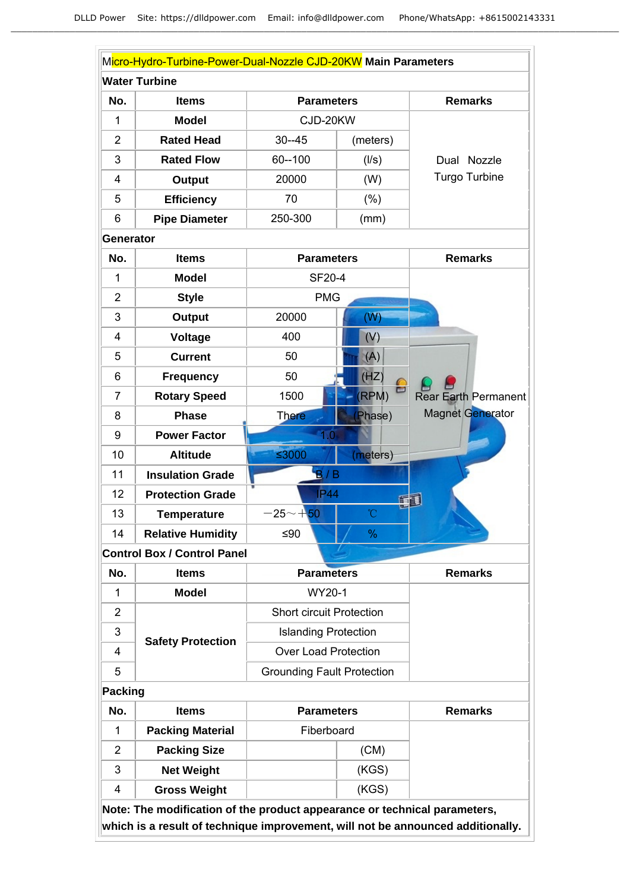|                  | Micro-Hydro-Turbine-Power-Dual-Nozzle CJD-20KW Main Parameters            |                                   |                   |                                                                                 |
|------------------|---------------------------------------------------------------------------|-----------------------------------|-------------------|---------------------------------------------------------------------------------|
|                  | <b>Water Turbine</b>                                                      |                                   |                   |                                                                                 |
| No.              | <b>Items</b>                                                              |                                   | <b>Parameters</b> |                                                                                 |
| 1                | <b>Model</b>                                                              | CJD-20KW                          |                   |                                                                                 |
| $\overline{2}$   | <b>Rated Head</b>                                                         | $30 - 45$                         | (meters)          |                                                                                 |
| 3                | <b>Rated Flow</b>                                                         | 60--100                           | (1/s)             | Dual Nozzle                                                                     |
| 4                | Output                                                                    | 20000                             | (W)               | Turgo Turbine                                                                   |
| 5                | <b>Efficiency</b>                                                         | 70                                | $(\% )$           |                                                                                 |
| 6                | <b>Pipe Diameter</b>                                                      | 250-300                           | (mm)              |                                                                                 |
| <b>Generator</b> |                                                                           |                                   |                   |                                                                                 |
| No.              | <b>Items</b>                                                              | <b>Parameters</b>                 |                   | <b>Remarks</b>                                                                  |
| 1                | <b>Model</b>                                                              | SF20-4                            |                   |                                                                                 |
| $\overline{2}$   | <b>Style</b>                                                              | <b>PMG</b>                        |                   |                                                                                 |
| 3                | <b>Output</b>                                                             | 20000                             | (W)               |                                                                                 |
| 4                | Voltage                                                                   | 400                               | (V)               |                                                                                 |
| 5                | <b>Current</b>                                                            | 50                                | (A)               |                                                                                 |
| 6                | <b>Frequency</b>                                                          | 50                                | (HZ)              |                                                                                 |
| $\overline{7}$   | <b>Rotary Speed</b>                                                       | 1500                              | ᄇ<br>(RPM)        | <b>Rear Earth Permanent</b>                                                     |
| 8                | <b>Phase</b>                                                              | <b>There</b>                      | Phase)            | Magnet Generator                                                                |
| 9                | <b>Power Factor</b>                                                       | 1.0                               |                   |                                                                                 |
| 10               | <b>Altitude</b>                                                           | ≤3000                             | (meters)          |                                                                                 |
| 11               | <b>Insulation Grade</b>                                                   | B/B                               |                   |                                                                                 |
| 12               | <b>Protection Grade</b>                                                   | <b>IP44</b>                       | 宿頭                |                                                                                 |
| 13               | <b>Temperature</b>                                                        | $-25 - +50$                       | °C                |                                                                                 |
| 14               | <b>Relative Humidity</b>                                                  | ≤ $90$                            | %                 |                                                                                 |
|                  | <b>Control Box / Control Panel</b>                                        |                                   |                   |                                                                                 |
| No.              | <b>Items</b>                                                              | <b>Parameters</b>                 |                   | <b>Remarks</b>                                                                  |
| $\mathbf{1}$     | <b>Model</b>                                                              | WY20-1                            |                   |                                                                                 |
| $\overline{2}$   |                                                                           | <b>Short circuit Protection</b>   |                   |                                                                                 |
| 3                | <b>Safety Protection</b>                                                  | <b>Islanding Protection</b>       |                   |                                                                                 |
| 4                |                                                                           | <b>Over Load Protection</b>       |                   |                                                                                 |
| 5                |                                                                           | <b>Grounding Fault Protection</b> |                   |                                                                                 |
| <b>Packing</b>   |                                                                           |                                   |                   |                                                                                 |
| No.              | <b>Items</b>                                                              | <b>Parameters</b>                 |                   | <b>Remarks</b>                                                                  |
| 1                | <b>Packing Material</b>                                                   | Fiberboard                        |                   |                                                                                 |
| 2                | <b>Packing Size</b>                                                       |                                   | (CM)              |                                                                                 |
| 3                | <b>Net Weight</b>                                                         |                                   | (KGS)             |                                                                                 |
| 4                | <b>Gross Weight</b>                                                       |                                   | (KGS)             |                                                                                 |
|                  | Note: The modification of the product appearance or technical parameters, |                                   |                   |                                                                                 |
|                  |                                                                           |                                   |                   | which is a result of technique improvement, will not be announced additionally. |